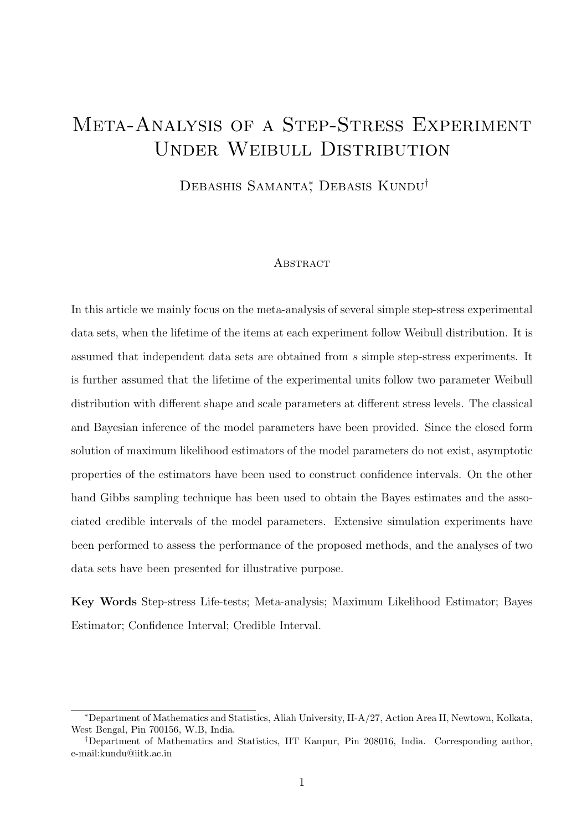# Meta-Analysis of a Step-Stress Experiment Under Weibull Distribution

Debashis Samanta<sup>\*</sup>, Debasis Kundu<sup>†</sup>

#### **ABSTRACT**

In this article we mainly focus on the meta-analysis of several simple step-stress experimental data sets, when the lifetime of the items at each experiment follow Weibull distribution. It is assumed that independent data sets are obtained from s simple step-stress experiments. It is further assumed that the lifetime of the experimental units follow two parameter Weibull distribution with different shape and scale parameters at different stress levels. The classical and Bayesian inference of the model parameters have been provided. Since the closed form solution of maximum likelihood estimators of the model parameters do not exist, asymptotic properties of the estimators have been used to construct confidence intervals. On the other hand Gibbs sampling technique has been used to obtain the Bayes estimates and the associated credible intervals of the model parameters. Extensive simulation experiments have been performed to assess the performance of the proposed methods, and the analyses of two data sets have been presented for illustrative purpose.

Key Words Step-stress Life-tests; Meta-analysis; Maximum Likelihood Estimator; Bayes Estimator; Confidence Interval; Credible Interval.

<sup>∗</sup>Department of Mathematics and Statistics, Aliah University, II-A/27, Action Area II, Newtown, Kolkata, West Bengal, Pin 700156, W.B, India.

<sup>†</sup>Department of Mathematics and Statistics, IIT Kanpur, Pin 208016, India. Corresponding author, e-mail:kundu@iitk.ac.in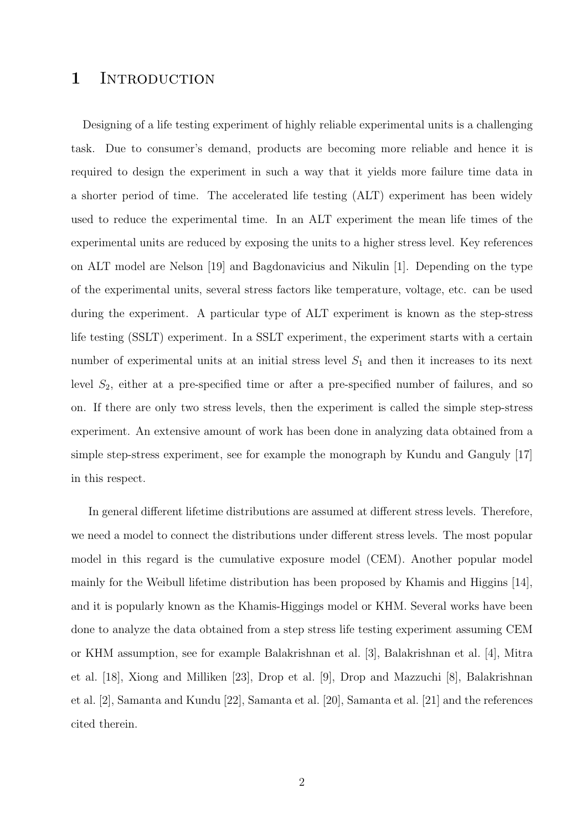### 1 INTRODUCTION

Designing of a life testing experiment of highly reliable experimental units is a challenging task. Due to consumer's demand, products are becoming more reliable and hence it is required to design the experiment in such a way that it yields more failure time data in a shorter period of time. The accelerated life testing (ALT) experiment has been widely used to reduce the experimental time. In an ALT experiment the mean life times of the experimental units are reduced by exposing the units to a higher stress level. Key references on ALT model are Nelson [19] and Bagdonavicius and Nikulin [1]. Depending on the type of the experimental units, several stress factors like temperature, voltage, etc. can be used during the experiment. A particular type of ALT experiment is known as the step-stress life testing (SSLT) experiment. In a SSLT experiment, the experiment starts with a certain number of experimental units at an initial stress level  $S_1$  and then it increases to its next level  $S_2$ , either at a pre-specified time or after a pre-specified number of failures, and so on. If there are only two stress levels, then the experiment is called the simple step-stress experiment. An extensive amount of work has been done in analyzing data obtained from a simple step-stress experiment, see for example the monograph by Kundu and Ganguly [17] in this respect.

In general different lifetime distributions are assumed at different stress levels. Therefore, we need a model to connect the distributions under different stress levels. The most popular model in this regard is the cumulative exposure model (CEM). Another popular model mainly for the Weibull lifetime distribution has been proposed by Khamis and Higgins [14], and it is popularly known as the Khamis-Higgings model or KHM. Several works have been done to analyze the data obtained from a step stress life testing experiment assuming CEM or KHM assumption, see for example Balakrishnan et al. [3], Balakrishnan et al. [4], Mitra et al. [18], Xiong and Milliken [23], Drop et al. [9], Drop and Mazzuchi [8], Balakrishnan et al. [2], Samanta and Kundu [22], Samanta et al. [20], Samanta et al. [21] and the references cited therein.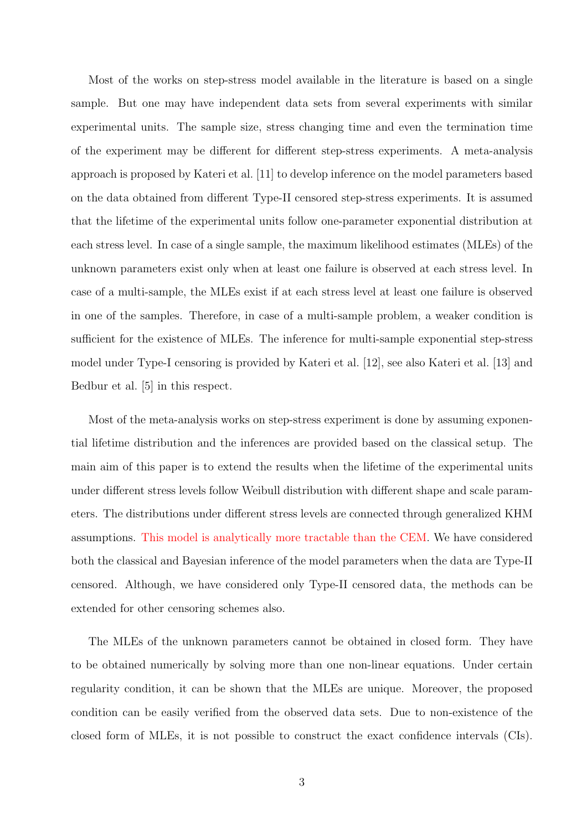Most of the works on step-stress model available in the literature is based on a single sample. But one may have independent data sets from several experiments with similar experimental units. The sample size, stress changing time and even the termination time of the experiment may be different for different step-stress experiments. A meta-analysis approach is proposed by Kateri et al. [11] to develop inference on the model parameters based on the data obtained from different Type-II censored step-stress experiments. It is assumed that the lifetime of the experimental units follow one-parameter exponential distribution at each stress level. In case of a single sample, the maximum likelihood estimates (MLEs) of the unknown parameters exist only when at least one failure is observed at each stress level. In case of a multi-sample, the MLEs exist if at each stress level at least one failure is observed in one of the samples. Therefore, in case of a multi-sample problem, a weaker condition is sufficient for the existence of MLEs. The inference for multi-sample exponential step-stress model under Type-I censoring is provided by Kateri et al. [12], see also Kateri et al. [13] and Bedbur et al. [5] in this respect.

Most of the meta-analysis works on step-stress experiment is done by assuming exponential lifetime distribution and the inferences are provided based on the classical setup. The main aim of this paper is to extend the results when the lifetime of the experimental units under different stress levels follow Weibull distribution with different shape and scale parameters. The distributions under different stress levels are connected through generalized KHM assumptions. This model is analytically more tractable than the CEM. We have considered both the classical and Bayesian inference of the model parameters when the data are Type-II censored. Although, we have considered only Type-II censored data, the methods can be extended for other censoring schemes also.

The MLEs of the unknown parameters cannot be obtained in closed form. They have to be obtained numerically by solving more than one non-linear equations. Under certain regularity condition, it can be shown that the MLEs are unique. Moreover, the proposed condition can be easily verified from the observed data sets. Due to non-existence of the closed form of MLEs, it is not possible to construct the exact confidence intervals (CIs).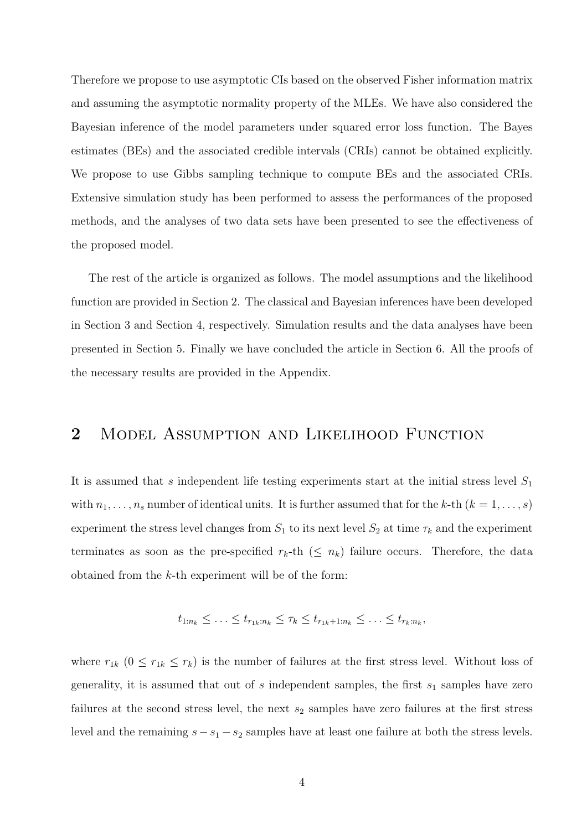Therefore we propose to use asymptotic CIs based on the observed Fisher information matrix and assuming the asymptotic normality property of the MLEs. We have also considered the Bayesian inference of the model parameters under squared error loss function. The Bayes estimates (BEs) and the associated credible intervals (CRIs) cannot be obtained explicitly. We propose to use Gibbs sampling technique to compute BEs and the associated CRIs. Extensive simulation study has been performed to assess the performances of the proposed methods, and the analyses of two data sets have been presented to see the effectiveness of the proposed model.

The rest of the article is organized as follows. The model assumptions and the likelihood function are provided in Section 2. The classical and Bayesian inferences have been developed in Section 3 and Section 4, respectively. Simulation results and the data analyses have been presented in Section 5. Finally we have concluded the article in Section 6. All the proofs of the necessary results are provided in the Appendix.

# 2 MODEL ASSUMPTION AND LIKELIHOOD FUNCTION

It is assumed that s independent life testing experiments start at the initial stress level  $S_1$ with  $n_1, \ldots, n_s$  number of identical units. It is further assumed that for the k-th  $(k = 1, \ldots, s)$ experiment the stress level changes from  $S_1$  to its next level  $S_2$  at time  $\tau_k$  and the experiment terminates as soon as the pre-specified  $r_k$ -th  $(\leq n_k)$  failure occurs. Therefore, the data obtained from the k-th experiment will be of the form:

$$
t_{1:n_k} \leq \ldots \leq t_{r_{1k}:n_k} \leq \tau_k \leq t_{r_{1k}+1:n_k} \leq \ldots \leq t_{r_k:n_k},
$$

where  $r_{1k}$   $(0 \leq r_{1k} \leq r_k)$  is the number of failures at the first stress level. Without loss of generality, it is assumed that out of  $s$  independent samples, the first  $s_1$  samples have zero failures at the second stress level, the next  $s_2$  samples have zero failures at the first stress level and the remaining  $s - s_1 - s_2$  samples have at least one failure at both the stress levels.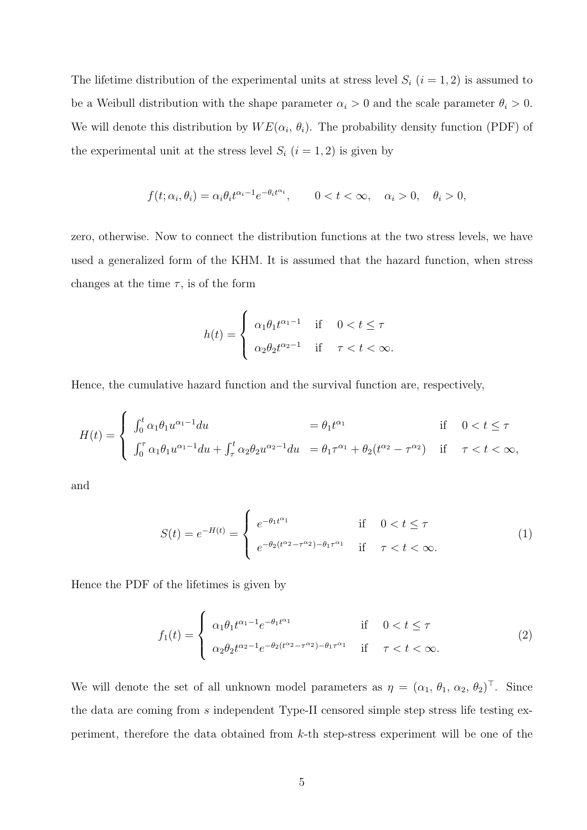The lifetime distribution of the experimental units at stress level  $S_i$  ( $i = 1, 2$ ) is assumed to be a Weibull distribution with the shape parameter  $\alpha_i > 0$  and the scale parameter  $\theta_i > 0$ . We will denote this distribution by  $WE(\alpha_i, \theta_i)$ . The probability density function (PDF) of the experimental unit at the stress level  $S_i$   $(i = 1, 2)$  is given by

$$
f(t; \alpha_i, \theta_i) = \alpha_i \theta_i t^{\alpha_i - 1} e^{-\theta_i t^{\alpha_i}}, \qquad 0 < t < \infty, \quad \alpha_i > 0, \quad \theta_i > 0,
$$

zero, otherwise. Now to connect the distribution functions at the two stress levels, we have used a generalized form of the KHM. It is assumed that the hazard function, when stress changes at the time  $\tau$ , is of the form

$$
h(t) = \begin{cases} \alpha_1 \theta_1 t^{\alpha_1 - 1} & \text{if } 0 < t \le \tau \\ \alpha_2 \theta_2 t^{\alpha_2 - 1} & \text{if } \tau < t < \infty. \end{cases}
$$

Hence, the cumulative hazard function and the survival function are, respectively,

$$
H(t) = \begin{cases} \int_0^t \alpha_1 \theta_1 u^{\alpha_1 - 1} du &= \theta_1 t^{\alpha_1} & \text{if } 0 < t \le \tau \\ \int_0^{\tau} \alpha_1 \theta_1 u^{\alpha_1 - 1} du + \int_{\tau}^t \alpha_2 \theta_2 u^{\alpha_2 - 1} du &= \theta_1 \tau^{\alpha_1} + \theta_2 (t^{\alpha_2} - \tau^{\alpha_2}) & \text{if } \tau < t < \infty, \end{cases}
$$

and

$$
S(t) = e^{-H(t)} = \begin{cases} e^{-\theta_1 t^{\alpha_1}} & \text{if } 0 < t \le \tau \\ e^{-\theta_2 (t^{\alpha_2} - \tau^{\alpha_2}) - \theta_1 \tau^{\alpha_1}} & \text{if } \tau < t < \infty. \end{cases} \tag{1}
$$

Hence the PDF of the lifetimes is given by

$$
f_1(t) = \begin{cases} \alpha_1 \theta_1 t^{\alpha_1 - 1} e^{-\theta_1 t^{\alpha_1}} & \text{if } 0 < t \le \tau \\ \alpha_2 \theta_2 t^{\alpha_2 - 1} e^{-\theta_2 (t^{\alpha_2} - \tau^{\alpha_2}) - \theta_1 \tau^{\alpha_1}} & \text{if } \tau < t < \infty. \end{cases} \tag{2}
$$

We will denote the set of all unknown model parameters as  $\eta = (\alpha_1, \theta_1, \alpha_2, \theta_2)^\top$ . Since the data are coming from s independent Type-II censored simple step stress life testing experiment, therefore the data obtained from k-th step-stress experiment will be one of the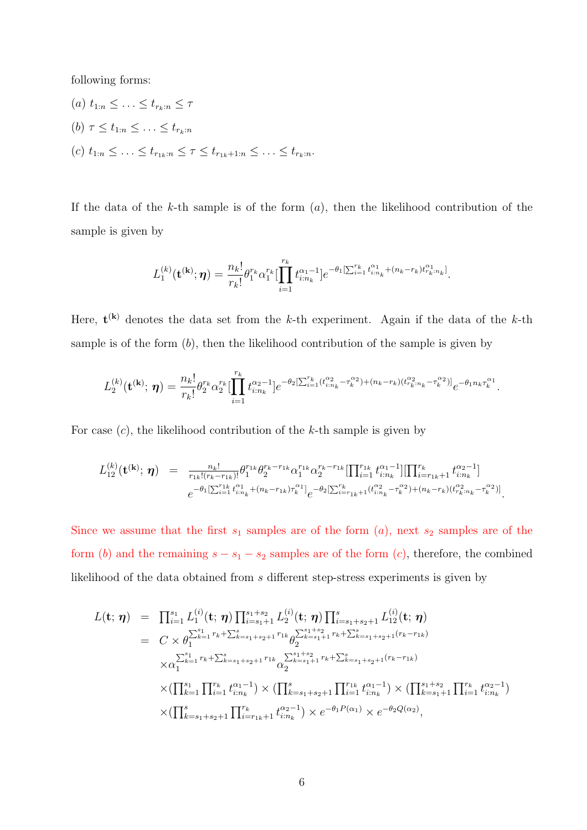following forms:

(a)  $t_{1:n} \leq \ldots \leq t_{r_k:n} \leq \tau$ (b)  $\tau \leq t_{1:n} \leq \ldots \leq t_{r_k:n}$ (c)  $t_{1:n} \leq \ldots \leq t_{r_{1k}:n} \leq \tau \leq t_{r_{1k}+1:n} \leq \ldots \leq t_{r_k:n}$ .

If the data of the k-th sample is of the form  $(a)$ , then the likelihood contribution of the sample is given by

$$
L_1^{(k)}(\mathbf{t}^{(k)};\boldsymbol{\eta}) = \frac{n_k!}{r_k!} \theta_1^{r_k} \alpha_1^{r_k} \left[ \prod_{i=1}^{r_k} t_{i:n_k}^{\alpha_1-1} \right] e^{-\theta_1 \left[ \sum_{i=1}^{r_k} t_{i:n_k}^{\alpha_1} + (n_k - r_k) t_{r_k:n_k}^{\alpha_1} \right]}.
$$

Here,  $\mathbf{t}^{(k)}$  denotes the data set from the k-th experiment. Again if the data of the k-th sample is of the form  $(b)$ , then the likelihood contribution of the sample is given by

$$
L_2^{(k)}(\mathbf{t}^{(k)}; \, \pmb{\eta}) = \frac{n_k!}{r_k!} \theta_2^{r_k} \alpha_2^{r_k} \left[ \prod_{i=1}^{r_k} t_{i:n_k}^{\alpha_2-1} \right] e^{-\theta_2 \left[ \sum_{i=1}^{r_k} (t_{i:n_k}^{\alpha_2} - \tau_k^{\alpha_2}) + (n_k - r_k)(t_{r_k:n_k}^{\alpha_2} - \tau_k^{\alpha_2}) \right]} e^{-\theta_1 n_k \tau_k^{\alpha_1}}.
$$

For case  $(c)$ , the likelihood contribution of the k-th sample is given by

$$
L_{12}^{(k)}(\mathbf{t}^{(k)}; \boldsymbol{\eta}) = \frac{n_k!}{r_{1k}!(r_k - r_{1k})!} \theta_1^{r_{1k}} \theta_2^{r_k - r_{1k}} \alpha_1^{r_{1k}} \alpha_2^{r_k - r_{1k}} \left[ \prod_{i=1}^{r_{1k}} t_{i:n_k}^{\alpha_1 - 1} \right] \left[ \prod_{i=r_{1k}+1}^{r_k} t_{i:n_k}^{\alpha_2 - 1} \right]
$$

$$
e^{-\theta_1 \left[ \sum_{i=1}^{r_{1k}} t_{i:n_k}^{\alpha_1} + (n_k - r_{1k}) \tau_k^{\alpha_1} \right]} e^{-\theta_2 \left[ \sum_{i=r_{1k}+1}^{r_k} (t_{i:n_k}^{\alpha_2} - \tau_k^{\alpha_2}) + (n_k - r_k)(t_{r_k}^{\alpha_2} - \tau_k^{\alpha_2}) \right]}.
$$

Since we assume that the first  $s_1$  samples are of the form  $(a)$ , next  $s_2$  samples are of the form (b) and the remaining  $s - s_1 - s_2$  samples are of the form (c), therefore, the combined likelihood of the data obtained from s different step-stress experiments is given by

$$
L(\mathbf{t}; \boldsymbol{\eta}) = \prod_{i=1}^{s_1} L_1^{(i)}(\mathbf{t}; \boldsymbol{\eta}) \prod_{i=s_1+1}^{s_1+s_2} L_2^{(i)}(\mathbf{t}; \boldsymbol{\eta}) \prod_{i=s_1+s_2+1}^{s} L_{12}^{(i)}(\mathbf{t}; \boldsymbol{\eta})
$$
  
\n
$$
= C \times \theta_1^{\sum_{k=1}^{s_1} r_k + \sum_{k=s_1+s_2+1}^{s} r_{1k}} \theta_2^{\sum_{k=s_1+1}^{s_1+s_2} r_k + \sum_{k=s_1+s_2+1}^{s} (r_k - r_{1k})}
$$
  
\n
$$
\times \alpha_1^{\sum_{k=1}^{s_1} r_k + \sum_{k=s_1+s_2+1}^{s} r_{1k}} \alpha_2^{\sum_{k=s_1+1}^{s_1+s_2} r_k + \sum_{k=s_1+s_2+1}^{s} (r_k - r_{1k})}
$$
  
\n
$$
\times (\prod_{k=1}^{s_1} \prod_{i=1}^{r_k} t_{i:n_k}^{\alpha_1 - 1}) \times (\prod_{k=s_1+s_2+1}^{s} \prod_{i=1}^{r_k} t_{i:n_k}^{\alpha_1 - 1}) \times (\prod_{k=s_1+1}^{s} \prod_{i=1}^{r_k} t_{i:n_k}^{\alpha_2 - 1})
$$
  
\n
$$
\times (\prod_{k=s_1+s_2+1}^{s} \prod_{i=r_{1k}+1}^{r_k} t_{i:n_k}^{\alpha_2 - 1}) \times e^{-\theta_1 P(\alpha_1)} \times e^{-\theta_2 Q(\alpha_2)},
$$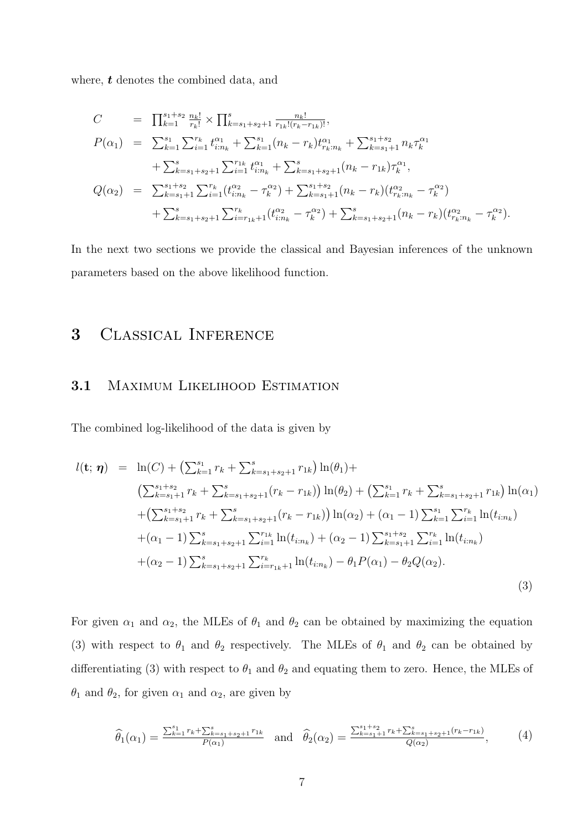where, **t** denotes the combined data, and

$$
C = \prod_{k=1}^{s_1+s_2} \frac{n_k!}{r_k!} \times \prod_{k=s_1+s_2+1}^{s} \frac{n_k!}{r_{1k}!(r_k-r_{1k})!},
$$
  
\n
$$
P(\alpha_1) = \sum_{k=1}^{s_1} \sum_{i=1}^{r_k} t_{i:n_k}^{\alpha_1} + \sum_{k=1}^{s_1} (n_k - r_k)t_{r_k:n_k}^{\alpha_1} + \sum_{k=s_1+1}^{s_1+s_2} n_k \tau_k^{\alpha_1} + \sum_{k=s_1+s_2+1}^{s} \sum_{i=1}^{r_{1k}} t_{i:n_k}^{\alpha_1} + \sum_{k=s_1+s_2+1}^{s} (n_k - r_{1k}) \tau_k^{\alpha_1},
$$
  
\n
$$
Q(\alpha_2) = \sum_{k=s_1+1}^{s_1+s_2} \sum_{i=1}^{r_k} (t_{i:n_k}^{\alpha_2} - \tau_k^{\alpha_2}) + \sum_{k=s_1+1}^{s_1+s_2} (n_k - r_k)(t_{r_k:n_k}^{\alpha_2} - \tau_k^{\alpha_2}) + \sum_{k=s_1+s_2+1}^{s} (n_k - r_k)(t_{r_k:n_k}^{\alpha_2} - \tau_k^{\alpha_2}).
$$

In the next two sections we provide the classical and Bayesian inferences of the unknown parameters based on the above likelihood function.

# 3 Classical Inference

## 3.1 MAXIMUM LIKELIHOOD ESTIMATION

The combined log-likelihood of the data is given by

$$
l(\mathbf{t}; \boldsymbol{\eta}) = \ln(C) + \left(\sum_{k=1}^{s_1} r_k + \sum_{k=s_1+s_2+1}^{s} r_{1k}\right) \ln(\theta_1) +
$$
  
\n
$$
\left(\sum_{k=s_1+1}^{s_1+s_2} r_k + \sum_{k=s_1+s_2+1}^{s} (r_k - r_{1k})\right) \ln(\theta_2) + \left(\sum_{k=1}^{s_1} r_k + \sum_{k=s_1+s_2+1}^{s} r_{1k}\right) \ln(\alpha_1)
$$
  
\n
$$
+ \left(\sum_{k=s_1+1}^{s_1+s_2} r_k + \sum_{k=s_1+s_2+1}^{s} (r_k - r_{1k})\right) \ln(\alpha_2) + (\alpha_1 - 1) \sum_{k=1}^{s_1} \sum_{i=1}^{r_k} \ln(t_{i:n_k})
$$
  
\n
$$
+ (\alpha_1 - 1) \sum_{k=s_1+s_2+1}^{s} \sum_{i=1}^{r_{1k}} \ln(t_{i:n_k}) + (\alpha_2 - 1) \sum_{k=s_1+1}^{s_1+s_2} \sum_{i=1}^{r_k} \ln(t_{i:n_k})
$$
  
\n
$$
+ (\alpha_2 - 1) \sum_{k=s_1+s_2+1}^{s} \sum_{i=r_{1k}+1}^{r_k} \ln(t_{i:n_k}) - \theta_1 P(\alpha_1) - \theta_2 Q(\alpha_2).
$$
  
\n(3)

For given  $\alpha_1$  and  $\alpha_2$ , the MLEs of  $\theta_1$  and  $\theta_2$  can be obtained by maximizing the equation (3) with respect to  $\theta_1$  and  $\theta_2$  respectively. The MLEs of  $\theta_1$  and  $\theta_2$  can be obtained by differentiating (3) with respect to  $\theta_1$  and  $\theta_2$  and equating them to zero. Hence, the MLEs of  $\theta_1$  and  $\theta_2$ , for given  $\alpha_1$  and  $\alpha_2$ , are given by

$$
\widehat{\theta}_{1}(\alpha_{1}) = \frac{\sum_{k=1}^{s_{1}} r_{k} + \sum_{k=s_{1}+s_{2}+1}^{s} r_{1k}}{P(\alpha_{1})} \quad \text{and} \quad \widehat{\theta}_{2}(\alpha_{2}) = \frac{\sum_{k=s_{1}+1}^{s_{1}+s_{2}} r_{k} + \sum_{k=s_{1}+s_{2}+1}^{s} (r_{k}-r_{1k})}{Q(\alpha_{2})}, \tag{4}
$$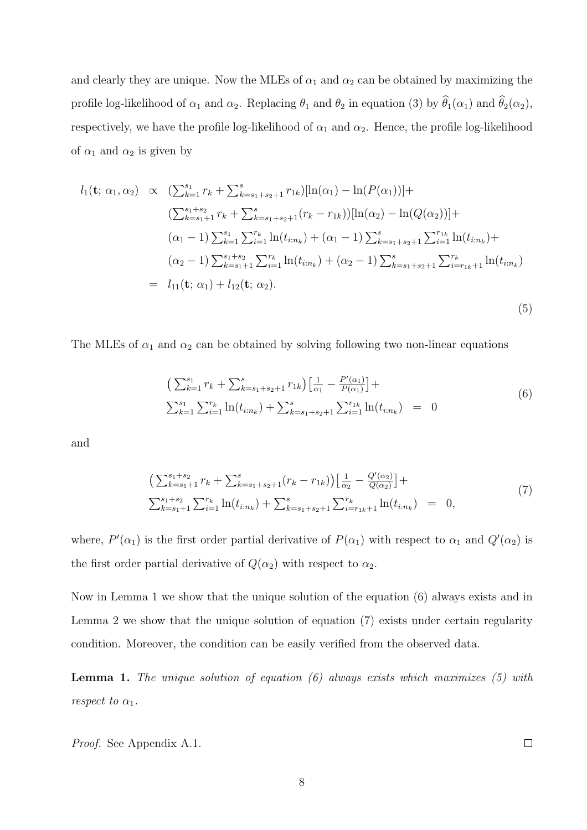and clearly they are unique. Now the MLEs of  $\alpha_1$  and  $\alpha_2$  can be obtained by maximizing the profile log-likelihood of  $\alpha_1$  and  $\alpha_2$ . Replacing  $\theta_1$  and  $\theta_2$  in equation (3) by  $\widehat{\theta}_1(\alpha_1)$  and  $\widehat{\theta}_2(\alpha_2)$ , respectively, we have the profile log-likelihood of  $\alpha_1$  and  $\alpha_2$ . Hence, the profile log-likelihood of  $\alpha_1$  and  $\alpha_2$  is given by

$$
l_{1}(\mathbf{t}; \alpha_{1}, \alpha_{2}) \propto (\sum_{k=1}^{s_{1}} r_{k} + \sum_{k=s_{1}+s_{2}+1}^{s} r_{1k})[\ln(\alpha_{1}) - \ln(P(\alpha_{1}))] +
$$
  
\n
$$
(\sum_{k=s_{1}+1}^{s_{1}+s_{2}} r_{k} + \sum_{k=s_{1}+s_{2}+1}^{s} (r_{k} - r_{1k}))[\ln(\alpha_{2}) - \ln(Q(\alpha_{2}))] +
$$
  
\n
$$
(\alpha_{1} - 1) \sum_{k=1}^{s_{1}} \sum_{i=1}^{r_{k}} \ln(t_{i:n_{k}}) + (\alpha_{1} - 1) \sum_{k=s_{1}+s_{2}+1}^{s} \sum_{i=1}^{r_{1k}} \ln(t_{i:n_{k}}) +
$$
  
\n
$$
(\alpha_{2} - 1) \sum_{k=s_{1}+1}^{s_{1}+s_{2}} \sum_{i=1}^{r_{k}} \ln(t_{i:n_{k}}) + (\alpha_{2} - 1) \sum_{k=s_{1}+s_{2}+1}^{s} \sum_{i=r_{1k}+1}^{r_{k}} \ln(t_{i:n_{k}})
$$
  
\n
$$
= l_{11}(\mathbf{t}; \alpha_{1}) + l_{12}(\mathbf{t}; \alpha_{2}). \tag{5}
$$

The MLEs of  $\alpha_1$  and  $\alpha_2$  can be obtained by solving following two non-linear equations

$$
\left(\sum_{k=1}^{s_1} r_k + \sum_{k=s_1+s_2+1}^{s} r_{1k}\right) \left[\frac{1}{\alpha_1} - \frac{P'(\alpha_1)}{P(\alpha_1)}\right] +
$$
  

$$
\sum_{k=1}^{s_1} \sum_{i=1}^{r_k} \ln(t_{i:n_k}) + \sum_{k=s_1+s_2+1}^{s} \sum_{i=1}^{r_{1k}} \ln(t_{i:n_k}) = 0
$$
\n(6)

and

$$
\left(\sum_{k=s_1+1}^{s_1+s_2} r_k + \sum_{k=s_1+s_2+1}^{s} (r_k - r_{1k})\right) \left[\frac{1}{\alpha_2} - \frac{Q'(\alpha_2)}{Q(\alpha_2)}\right] +
$$
  

$$
\sum_{k=s_1+1}^{s_1+s_2} \sum_{i=1}^{r_k} \ln(t_{i:n_k}) + \sum_{k=s_1+s_2+1}^{s} \sum_{i=r_{1k}+1}^{r_k} \ln(t_{i:n_k}) = 0,
$$
\n(7)

where,  $P'(\alpha_1)$  is the first order partial derivative of  $P(\alpha_1)$  with respect to  $\alpha_1$  and  $Q'(\alpha_2)$  is the first order partial derivative of  $Q(\alpha_2)$  with respect to  $\alpha_2$ .

Now in Lemma 1 we show that the unique solution of the equation (6) always exists and in Lemma 2 we show that the unique solution of equation (7) exists under certain regularity condition. Moreover, the condition can be easily verified from the observed data.

Lemma 1. *The unique solution of equation (6) always exists which maximizes (5) with respect to*  $\alpha_1$ *.* 

*Proof.* See Appendix A.1.

 $\Box$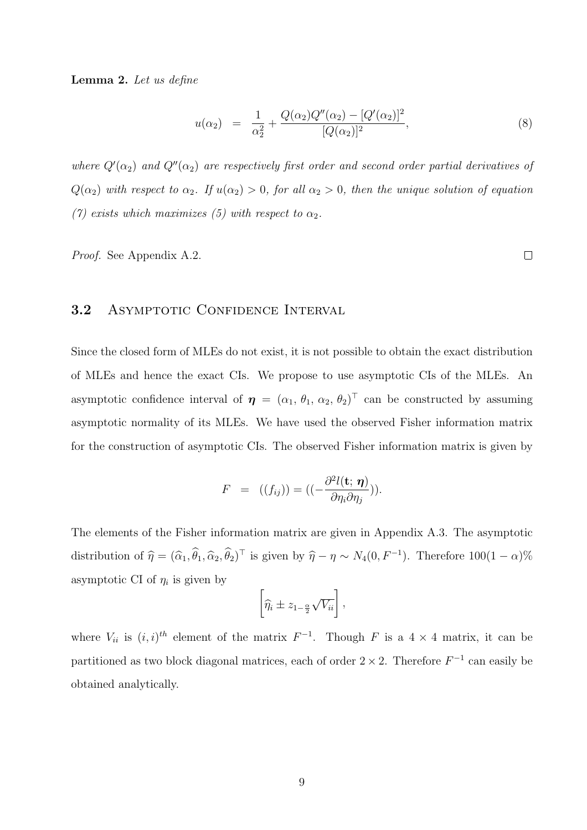Lemma 2. *Let us define*

$$
u(\alpha_2) = \frac{1}{\alpha_2^2} + \frac{Q(\alpha_2)Q''(\alpha_2) - [Q'(\alpha_2)]^2}{[Q(\alpha_2)]^2}, \tag{8}
$$

where  $Q'(\alpha_2)$  and  $Q''(\alpha_2)$  are respectively first order and second order partial derivatives of  $Q(\alpha_2)$  with respect to  $\alpha_2$ . If  $u(\alpha_2) > 0$ , for all  $\alpha_2 > 0$ , then the unique solution of equation *(7) exists which maximizes (5) with respect to*  $\alpha_2$ *.* 

*Proof.* See Appendix A.2.

### 3.2 ASYMPTOTIC CONFIDENCE INTERVAL

Since the closed form of MLEs do not exist, it is not possible to obtain the exact distribution of MLEs and hence the exact CIs. We propose to use asymptotic CIs of the MLEs. An asymptotic confidence interval of  $\boldsymbol{\eta} = (\alpha_1, \theta_1, \alpha_2, \theta_2)^\top$  can be constructed by assuming asymptotic normality of its MLEs. We have used the observed Fisher information matrix for the construction of asymptotic CIs. The observed Fisher information matrix is given by

$$
F = ((f_{ij})) = ((-\frac{\partial^2 l(\mathbf{t}; \boldsymbol{\eta})}{\partial \eta_i \partial \eta_j})).
$$

The elements of the Fisher information matrix are given in Appendix A.3. The asymptotic distribution of  $\hat{\eta} = (\hat{\alpha}_1, \hat{\theta}_1, \hat{\alpha}_2, \hat{\theta}_2)^{\top}$  is given by  $\hat{\eta} - \eta \sim N_4(0, F^{-1})$ . Therefore  $100(1 - \alpha)\%$ asymptotic CI of  $\eta_i$  is given by

$$
\left[\widehat{\eta_i} \pm z_{1-\frac{\alpha}{2}}\sqrt{V_{ii}}\right],
$$

where  $V_{ii}$  is  $(i, i)^{th}$  element of the matrix  $F^{-1}$ . Though F is a 4 × 4 matrix, it can be partitioned as two block diagonal matrices, each of order  $2 \times 2$ . Therefore  $F^{-1}$  can easily be obtained analytically.

 $\Box$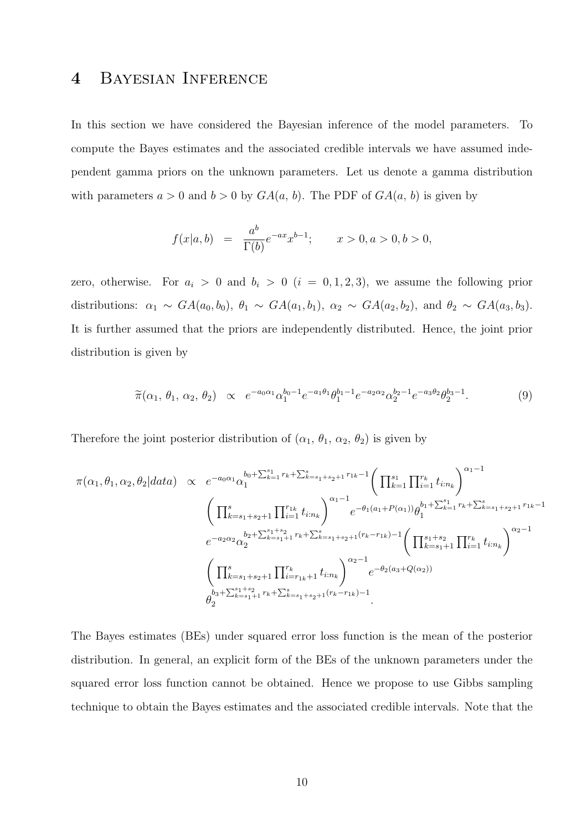# 4 Bayesian Inference

In this section we have considered the Bayesian inference of the model parameters. To compute the Bayes estimates and the associated credible intervals we have assumed independent gamma priors on the unknown parameters. Let us denote a gamma distribution with parameters  $a > 0$  and  $b > 0$  by  $GA(a, b)$ . The PDF of  $GA(a, b)$  is given by

$$
f(x|a, b) = \frac{a^b}{\Gamma(b)} e^{-ax} x^{b-1}; \qquad x > 0, a > 0, b > 0,
$$

zero, otherwise. For  $a_i > 0$  and  $b_i > 0$   $(i = 0, 1, 2, 3)$ , we assume the following prior distributions:  $\alpha_1 \sim GA(a_0, b_0), \theta_1 \sim GA(a_1, b_1), \alpha_2 \sim GA(a_2, b_2),$  and  $\theta_2 \sim GA(a_3, b_3)$ . It is further assumed that the priors are independently distributed. Hence, the joint prior distribution is given by

$$
\widetilde{\pi}(\alpha_1, \theta_1, \alpha_2, \theta_2) \propto e^{-a_0 \alpha_1} \alpha_1^{b_0 - 1} e^{-a_1 \theta_1} \theta_1^{b_1 - 1} e^{-a_2 \alpha_2} \alpha_2^{b_2 - 1} e^{-a_3 \theta_2} \theta_2^{b_3 - 1}.
$$
\n(9)

Therefore the joint posterior distribution of  $(\alpha_1, \theta_1, \alpha_2, \theta_2)$  is given by

$$
\pi(\alpha_1, \theta_1, \alpha_2, \theta_2 | data) \propto e^{-a_0 \alpha_1} \alpha_1^{b_0 + \sum_{k=1}^s r_k + \sum_{k=s_1+s_2+1}^s r_{1k} - 1} \left( \prod_{k=1}^{s_1} \prod_{i=1}^{r_k} t_{i:n_k} \right)^{\alpha_1 - 1} \n\left( \prod_{k=s_1+s_2+1}^s \prod_{i=1}^{r_{1k}} t_{i:n_k} \right)^{\alpha_1 - 1} e^{-\theta_1(a_1 + P(\alpha_1))} \theta_1^{b_1 + \sum_{k=1}^s r_k + \sum_{k=s_1+s_2+1}^s r_{1k} - 1} \n e^{-a_2 \alpha_2} \alpha_2^{b_2 + \sum_{k=s_1+1}^{s_1+s_2} r_k + \sum_{k=s_1+s_2+1}^s (r_k - r_{1k}) - 1} \left( \prod_{k=s_1+1}^{s_1+s_2} \prod_{i=1}^{r_k} t_{i:n_k} \right)^{\alpha_2 - 1} \n\left( \prod_{k=s_1+s_2+1}^s \prod_{i=r_{1k}+1}^{r_k} t_{i:n_k} \right)^{\alpha_2 - 1} e^{-\theta_2(a_3 + Q(\alpha_2))} \n\theta_2^{b_3 + \sum_{k=s_1+1}^{s_1+s_2} r_k + \sum_{k=s_1+s_2+1}^s (r_k - r_{1k}) - 1}.
$$

The Bayes estimates (BEs) under squared error loss function is the mean of the posterior distribution. In general, an explicit form of the BEs of the unknown parameters under the squared error loss function cannot be obtained. Hence we propose to use Gibbs sampling technique to obtain the Bayes estimates and the associated credible intervals. Note that the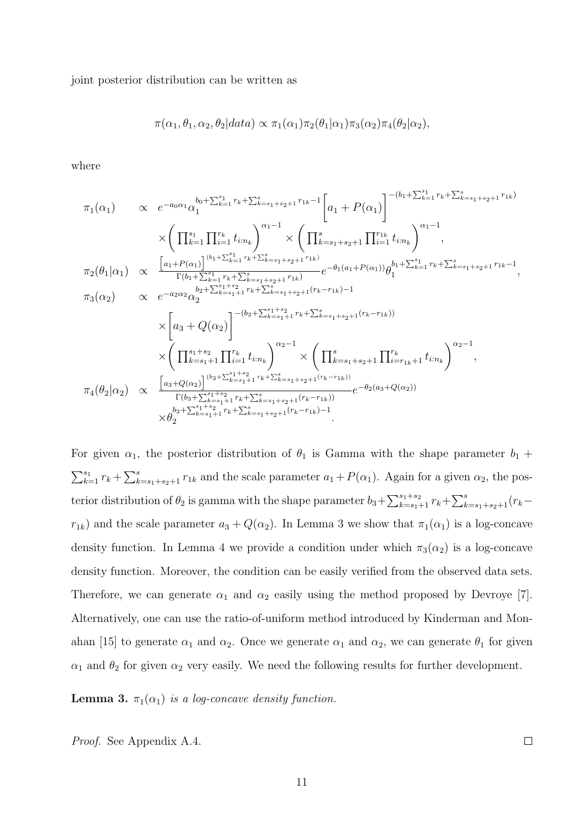joint posterior distribution can be written as

$$
\pi(\alpha_1, \theta_1, \alpha_2, \theta_2 | data) \propto \pi_1(\alpha_1) \pi_2(\theta_1 | \alpha_1) \pi_3(\alpha_2) \pi_4(\theta_2 | \alpha_2),
$$

where

$$
\pi_{1}(\alpha_{1}) \propto e^{-a_{0}\alpha_{1}}\alpha_{1}^{b_{0}+\sum_{k=1}^{s_{1}}r_{k}+\sum_{k=s_{1}+s_{2}+1}^{s_{2}}r_{1k}-1} \left[a_{1}+P(\alpha_{1})\right]^{-(b_{1}+\sum_{k=1}^{s_{1}}r_{k}+\sum_{k=s_{1}+s_{2}+1}^{s_{1}}r_{1k})} \times \left(\prod_{k=s_{1}+s_{2}+1}^{s_{2}}\prod_{i=1}^{s_{2}}t_{i:n_{k}}\right)^{\alpha_{1}-1} \times \left(\prod_{k=s_{1}+s_{2}+1}^{s_{2}}\prod_{i=1}^{s_{2}}t_{i:n_{k}}\right)^{\alpha_{1}-1},
$$
\n
$$
\pi_{2}(\theta_{1}|\alpha_{1}) \propto \frac{\left[a_{1}+P(\alpha_{1})\right]^{(b_{1}+\sum_{k=1}^{s_{1}}r_{k}+\sum_{k=s_{1}+s_{2}+1}^{s_{1}}r_{1k})}{\Gamma(b_{1}+\sum_{k=1}^{s_{1}}r_{k}+\sum_{k=s_{1}+s_{2}+1}^{s_{2}}r_{1k})}e^{-\theta_{1}(a_{1}+P(\alpha_{1}))}\theta_{1}^{b_{1}+\sum_{k=1}^{s_{1}}r_{k}+\sum_{k=s_{1}+s_{2}+1}^{s_{2}}r_{1k}-1},
$$
\n
$$
\pi_{3}(\alpha_{2}) \propto e^{-a_{2}\alpha_{2}}\alpha_{2}^{b_{2}+\sum_{k=s_{1}+1}^{s_{1}+s_{2}}r_{k}+\sum_{k=s_{1}+s_{2}+1}^{s_{2}}(r_{k}-r_{1k})-1} \times \left(a_{3}+Q(\alpha_{2})\right)^{-(b_{3}+\sum_{k=s_{1}+1}^{s_{1}}r_{k}+\sum_{k=s_{1}+s_{2}+1}^{s_{2}}(r_{k}-r_{1k}))} \times \left(\prod_{k=s_{1}+1}^{s_{2}}\prod_{i=1}^{s_{2}}t_{i:n_{k}}\right)^{\alpha_{2}-1} \times \left(\prod_{k=s_{1}+s_{2}+1}^{s_{2}}\prod_{i=s_{1}+s_{2}+1}^{r_{k}}t_{i:n_{k}}\right)^{\alpha_{2}-1},
$$
\n

For given  $\alpha_1$ , the posterior distribution of  $\theta_1$  is Gamma with the shape parameter  $b_1$  +  $\sum_{k=1}^{s_1} r_k + \sum_{k=s_1+s_2+1}^{s} r_{1k}$  and the scale parameter  $a_1 + P(\alpha_1)$ . Again for a given  $\alpha_2$ , the posterior distribution of  $\theta_2$  is gamma with the shape parameter  $b_3 + \sum_{k=s_1+1}^{s_1+s_2} r_k + \sum_{k=s_1+s_2+1}^{s}(r_k$  $r_{1k}$ ) and the scale parameter  $a_3 + Q(\alpha_2)$ . In Lemma 3 we show that  $\pi_1(\alpha_1)$  is a log-concave density function. In Lemma 4 we provide a condition under which  $\pi_3(\alpha_2)$  is a log-concave density function. Moreover, the condition can be easily verified from the observed data sets. Therefore, we can generate  $\alpha_1$  and  $\alpha_2$  easily using the method proposed by Devroye [7]. Alternatively, one can use the ratio-of-uniform method introduced by Kinderman and Monahan [15] to generate  $\alpha_1$  and  $\alpha_2$ . Once we generate  $\alpha_1$  and  $\alpha_2$ , we can generate  $\theta_1$  for given  $\alpha_1$  and  $\theta_2$  for given  $\alpha_2$  very easily. We need the following results for further development.

**Lemma 3.**  $\pi_1(\alpha_1)$  *is a log-concave density function.* 

*Proof.* See Appendix A.4.

 $\Box$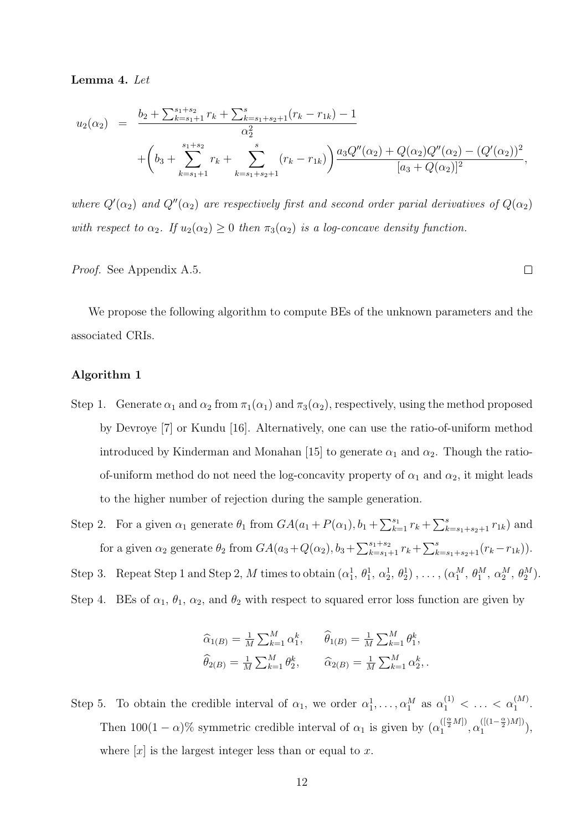#### Lemma 4. *Let*

$$
u_2(\alpha_2) = \frac{b_2 + \sum_{k=s_1+1}^{s_1+s_2} r_k + \sum_{k=s_1+s_2+1}^{s} (r_k - r_{1k}) - 1}{\alpha_2^2} + \left(b_3 + \sum_{k=s_1+1}^{s_1+s_2} r_k + \sum_{k=s_1+s_2+1}^{s} (r_k - r_{1k})\right) \frac{a_3 Q''(\alpha_2) + Q(\alpha_2) Q''(\alpha_2) - (Q'(\alpha_2))^2}{[a_3 + Q(\alpha_2)]^2},
$$

where  $Q'(\alpha_2)$  and  $Q''(\alpha_2)$  are respectively first and second order parial derivatives of  $Q(\alpha_2)$ *with respect to*  $\alpha_2$ *. If*  $u_2(\alpha_2) \geq 0$  *then*  $\pi_3(\alpha_2)$  *is a log-concave density function.* 

*Proof.* See Appendix A.5.

We propose the following algorithm to compute BEs of the unknown parameters and the associated CRIs.

#### Algorithm 1

- Step 1. Generate  $\alpha_1$  and  $\alpha_2$  from  $\pi_1(\alpha_1)$  and  $\pi_3(\alpha_2)$ , respectively, using the method proposed by Devroye [7] or Kundu [16]. Alternatively, one can use the ratio-of-uniform method introduced by Kinderman and Monahan [15] to generate  $\alpha_1$  and  $\alpha_2$ . Though the ratioof-uniform method do not need the log-concavity property of  $\alpha_1$  and  $\alpha_2$ , it might leads to the higher number of rejection during the sample generation.
- Step 2. For a given  $\alpha_1$  generate  $\theta_1$  from  $GA(a_1 + P(\alpha_1), b_1 + \sum_{k=1}^{s_1} r_k + \sum_{k=s_1+s_2+1}^{s_1} r_{1k})$  and for a given  $\alpha_2$  generate  $\theta_2$  from  $GA(a_3+Q(\alpha_2), b_3+\sum_{k=s_1+1}^{s_1+s_2} r_k+\sum_{k=s_1+s_2+1}^{s}(r_k-r_{1k})).$

Step 3. Repeat Step 1 and Step 2, M times to obtain  $(\alpha_1^1, \theta_1^1, \alpha_2^1, \theta_2^1), \ldots, (\alpha_1^M, \theta_1^M, \alpha_2^M, \theta_2^M)$ .

Step 4. BEs of  $\alpha_1$ ,  $\theta_1$ ,  $\alpha_2$ , and  $\theta_2$  with respect to squared error loss function are given by

$$
\begin{aligned}\n\widehat{\alpha}_{1(B)} &= \frac{1}{M} \sum_{k=1}^{M} \alpha_1^k, & \widehat{\theta}_{1(B)} &= \frac{1}{M} \sum_{k=1}^{M} \theta_1^k, \\
\widehat{\theta}_{2(B)} &= \frac{1}{M} \sum_{k=1}^{M} \theta_2^k, & \widehat{\alpha}_{2(B)} &= \frac{1}{M} \sum_{k=1}^{M} \alpha_2^k.\n\end{aligned}
$$

Step 5. To obtain the credible interval of  $\alpha_1$ , we order  $\alpha_1^1, \ldots, \alpha_1^M$  as  $\alpha_1^{(1)} < \ldots < \alpha_1^{(M)}$ . Then  $100(1-\alpha)\%$  symmetric credible interval of  $\alpha_1$  is given by  $(\alpha_1^{([\frac{\alpha}{2}M])}, \alpha_1^{([\frac{1-\alpha}{2})M]})$  $\binom{(1-\frac{1}{2})^{M}}{1},$ where  $[x]$  is the largest integer less than or equal to x.

 $\Box$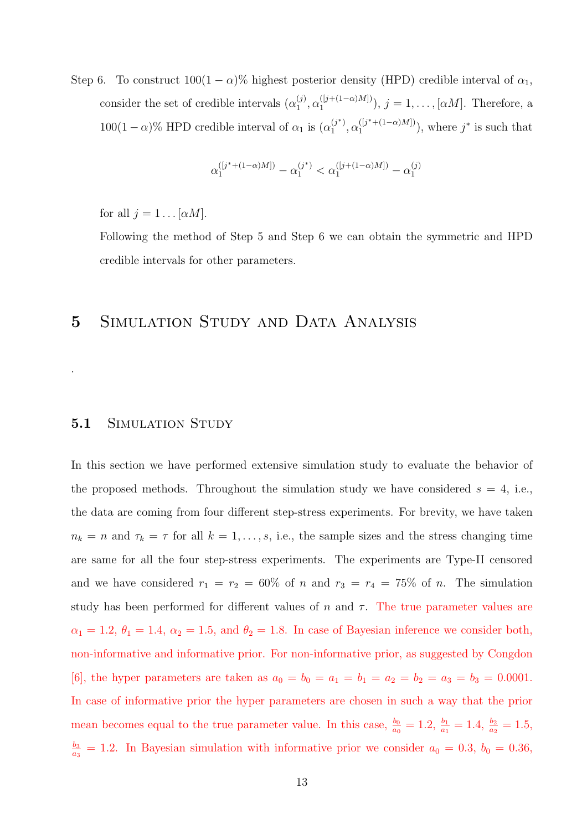Step 6. To construct  $100(1 - \alpha)$ % highest posterior density (HPD) credible interval of  $\alpha_1$ , consider the set of credible intervals  $(\alpha_1^{(j)})$  $\alpha_1^{(j)}, \alpha_1^{([j+(1-\alpha)M])}$  $\binom{([j+(1-\alpha)M])}{1}$ ,  $j=1,\ldots,[\alpha M]$ . Therefore, a  $100(1-\alpha)\%$  HPD credible interval of  $\alpha_1$  is  $(\alpha_1^{(j^*)})$  $\alpha_1^{(j^*)}, \alpha_1^{([j^*+(1-\alpha)M])}$  $\binom{([j^*+(1-\alpha)M])}{1}$ , where  $j^*$  is such that

$$
\alpha_1^{([j^*+(1-\alpha)M])} - \alpha_1^{(j^*)} < \alpha_1^{([j+(1-\alpha)M])} - \alpha_1^{(j)}
$$

for all  $j = 1 \dots [\alpha M]$ .

Following the method of Step 5 and Step 6 we can obtain the symmetric and HPD credible intervals for other parameters.

# 5 SIMULATION STUDY AND DATA ANALYSIS

#### 5.1 SIMULATION STUDY

.

In this section we have performed extensive simulation study to evaluate the behavior of the proposed methods. Throughout the simulation study we have considered  $s = 4$ , i.e., the data are coming from four different step-stress experiments. For brevity, we have taken  $n_k = n$  and  $\tau_k = \tau$  for all  $k = 1, \ldots, s$ , i.e., the sample sizes and the stress changing time are same for all the four step-stress experiments. The experiments are Type-II censored and we have considered  $r_1 = r_2 = 60\%$  of n and  $r_3 = r_4 = 75\%$  of n. The simulation study has been performed for different values of n and  $\tau$ . The true parameter values are  $\alpha_1 = 1.2, \theta_1 = 1.4, \alpha_2 = 1.5, \text{ and } \theta_2 = 1.8.$  In case of Bayesian inference we consider both, non-informative and informative prior. For non-informative prior, as suggested by Congdon [6], the hyper parameters are taken as  $a_0 = b_0 = a_1 = b_1 = a_2 = b_2 = a_3 = b_3 = 0.0001$ . In case of informative prior the hyper parameters are chosen in such a way that the prior mean becomes equal to the true parameter value. In this case,  $\frac{b_0}{a_0} = 1.2$ ,  $\frac{b_1}{a_1} = 1.4$ ,  $\frac{b_2}{a_2} = 1.5$ ,  $b_3$  $\frac{b_3}{a_3}$  = 1.2. In Bayesian simulation with informative prior we consider  $a_0 = 0.3$ ,  $b_0 = 0.36$ ,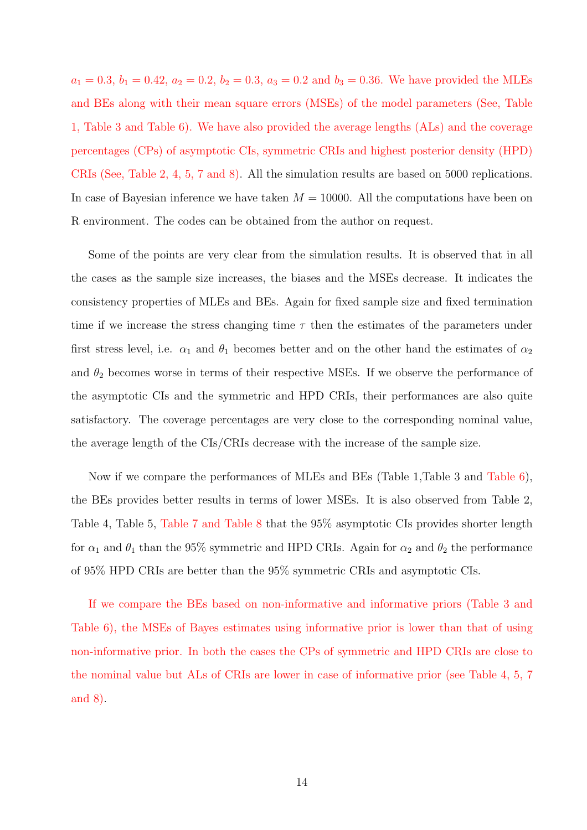$a_1 = 0.3, b_1 = 0.42, a_2 = 0.2, b_2 = 0.3, a_3 = 0.2$  and  $b_3 = 0.36$ . We have provided the MLEs and BEs along with their mean square errors (MSEs) of the model parameters (See, Table 1, Table 3 and Table 6). We have also provided the average lengths (ALs) and the coverage percentages (CPs) of asymptotic CIs, symmetric CRIs and highest posterior density (HPD) CRIs (See, Table 2, 4, 5, 7 and 8). All the simulation results are based on 5000 replications. In case of Bayesian inference we have taken  $M = 10000$ . All the computations have been on R environment. The codes can be obtained from the author on request.

Some of the points are very clear from the simulation results. It is observed that in all the cases as the sample size increases, the biases and the MSEs decrease. It indicates the consistency properties of MLEs and BEs. Again for fixed sample size and fixed termination time if we increase the stress changing time  $\tau$  then the estimates of the parameters under first stress level, i.e.  $\alpha_1$  and  $\theta_1$  becomes better and on the other hand the estimates of  $\alpha_2$ and  $\theta_2$  becomes worse in terms of their respective MSEs. If we observe the performance of the asymptotic CIs and the symmetric and HPD CRIs, their performances are also quite satisfactory. The coverage percentages are very close to the corresponding nominal value, the average length of the CIs/CRIs decrease with the increase of the sample size.

Now if we compare the performances of MLEs and BEs (Table 1,Table 3 and Table 6), the BEs provides better results in terms of lower MSEs. It is also observed from Table 2, Table 4, Table 5, Table 7 and Table 8 that the 95% asymptotic CIs provides shorter length for  $\alpha_1$  and  $\theta_1$  than the 95% symmetric and HPD CRIs. Again for  $\alpha_2$  and  $\theta_2$  the performance of 95% HPD CRIs are better than the 95% symmetric CRIs and asymptotic CIs.

If we compare the BEs based on non-informative and informative priors (Table 3 and Table 6), the MSEs of Bayes estimates using informative prior is lower than that of using non-informative prior. In both the cases the CPs of symmetric and HPD CRIs are close to the nominal value but ALs of CRIs are lower in case of informative prior (see Table 4, 5, 7 and 8).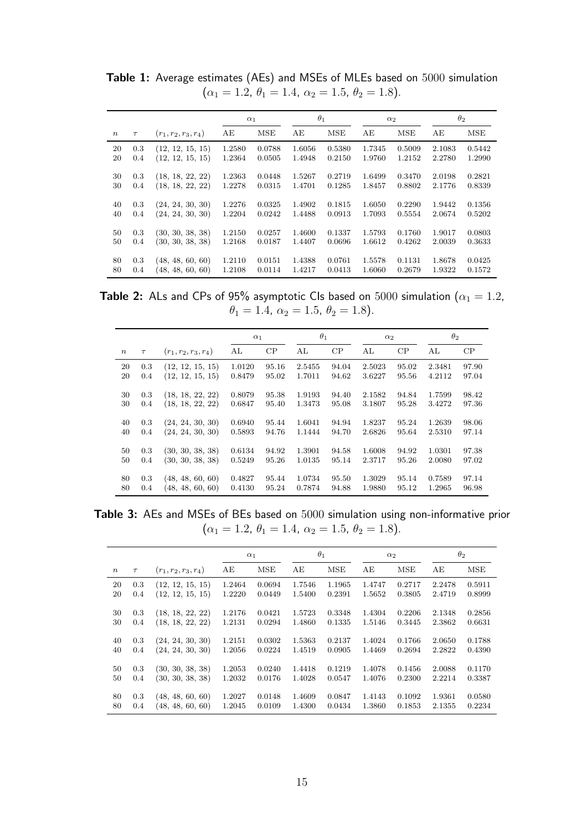|        |        |                        |        | $\alpha_1$ |        | $\theta_1$ |        | $\alpha_2$ |        | $\theta_2$ |
|--------|--------|------------------------|--------|------------|--------|------------|--------|------------|--------|------------|
| $\, n$ | $\tau$ | $(r_1, r_2, r_3, r_4)$ | AE     | MSE        | AE     | <b>MSE</b> | AE     | MSE        | AE     | MSE        |
| 20     | 0.3    | (12, 12, 15, 15)       | 1.2580 | 0.0788     | 1.6056 | 0.5380     | 1.7345 | 0.5009     | 2.1083 | 0.5442     |
| 20     | 0.4    | (12, 12, 15, 15)       | 1.2364 | 0.0505     | 1.4948 | 0.2150     | 1.9760 | 1.2152     | 2.2780 | 1.2990     |
| 30     | 0.3    | (18, 18, 22, 22)       | 1.2363 | 0.0448     | 1.5267 | 0.2719     | 1.6499 | 0.3470     | 2.0198 | 0.2821     |
| 30     | 0.4    | (18, 18, 22, 22)       | 1.2278 | 0.0315     | 1.4701 | 0.1285     | 1.8457 | 0.8802     | 2.1776 | 0.8339     |
| 40     | 0.3    | (24, 24, 30, 30)       | 1.2276 | 0.0325     | 1.4902 | 0.1815     | 1.6050 | 0.2290     | 1.9442 | 0.1356     |
| 40     | 0.4    | (24, 24, 30, 30)       | 1.2204 | 0.0242     | 1.4488 | 0.0913     | 1.7093 | 0.5554     | 2.0674 | 0.5202     |
| 50     | 0.3    | (30, 30, 38, 38)       | 1.2150 | 0.0257     | 1.4600 | 0.1337     | 1.5793 | 0.1760     | 1.9017 | 0.0803     |
| 50     | 0.4    | (30, 30, 38, 38)       | 1.2168 | 0.0187     | 1.4407 | 0.0696     | 1.6612 | 0.4262     | 2.0039 | 0.3633     |
| 80     | 0.3    | (48, 48, 60, 60)       | 1.2110 | 0.0151     | 1.4388 | 0.0761     | 1.5578 | 0.1131     | 1.8678 | 0.0425     |
| 80     | 0.4    | (48, 48, 60, 60)       | 1.2108 | 0.0114     | 1.4217 | 0.0413     | 1.6060 | 0.2679     | 1.9322 | 0.1572     |

Table 1: Average estimates (AEs) and MSEs of MLEs based on 5000 simulation  $(\alpha_1 = 1.2, \theta_1 = 1.4, \alpha_2 = 1.5, \theta_2 = 1.8).$ 

**Table 2:** ALs and CPs of 95% asymptotic CIs based on 5000 simulation ( $\alpha_1 = 1.2$ ,  $\theta_1 = 1.4, \ \alpha_2 = 1.5, \ \theta_2 = 1.8$ ).

|        |        |                        | $\alpha_1$ |       | $\theta_1$ |       | $\alpha_2$ |       | $\theta_2$ |       |
|--------|--------|------------------------|------------|-------|------------|-------|------------|-------|------------|-------|
| $\, n$ | $\tau$ | $(r_1, r_2, r_3, r_4)$ | AL         | CP    | AL         | CP    | AL         | CP    | AL         | CP    |
| 20     | 0.3    | (12, 12, 15, 15)       | 1.0120     | 95.16 | 2.5455     | 94.04 | 2.5023     | 95.02 | 2.3481     | 97.90 |
| 20     | 0.4    | (12, 12, 15, 15)       | 0.8479     | 95.02 | 1.7011     | 94.62 | 3.6227     | 95.56 | 4.2112     | 97.04 |
| 30     | 0.3    | (18, 18, 22, 22)       | 0.8079     | 95.38 | 1.9193     | 94.40 | 2.1582     | 94.84 | 1.7599     | 98.42 |
| 30     | 0.4    | (18, 18, 22, 22)       | 0.6847     | 95.40 | 1.3473     | 95.08 | 3.1807     | 95.28 | 3.4272     | 97.36 |
|        |        |                        |            |       |            |       |            |       |            |       |
| 40     | 0.3    | (24, 24, 30, 30)       | 0.6940     | 95.44 | 1.6041     | 94.94 | 1.8237     | 95.24 | 1.2639     | 98.06 |
| 40     | 0.4    | (24, 24, 30, 30)       | 0.5893     | 94.76 | 1.1444     | 94.70 | 2.6826     | 95.64 | 2.5310     | 97.14 |
| 50     | 0.3    | (30, 30, 38, 38)       | 0.6134     | 94.92 | 1.3901     | 94.58 | 1.6008     | 94.92 | 1.0301     | 97.38 |
| 50     | 0.4    | (30, 30, 38, 38)       | 0.5249     | 95.26 | 1.0135     | 95.14 | 2.3717     | 95.26 | 2.0080     | 97.02 |
| 80     | 0.3    | (48, 48, 60, 60)       | 0.4827     | 95.44 | 1.0734     | 95.50 | 1.3029     | 95.14 | 0.7589     | 97.14 |
| 80     | 0.4    | (48, 48, 60, 60)       | 0.4130     | 95.24 | 0.7874     | 94.88 | 1.9880     | 95.12 | 1.2965     | 96.98 |

Table 3: AEs and MSEs of BEs based on 5000 simulation using non-informative prior  $(\alpha_1 = 1.2, \theta_1 = 1.4, \alpha_2 = 1.5, \theta_2 = 1.8).$ 

|                  |        |                        |        | $\alpha_1$ |        | $\theta_1$ |        | $\alpha_2$ |        | $\theta_2$ |
|------------------|--------|------------------------|--------|------------|--------|------------|--------|------------|--------|------------|
| $\boldsymbol{n}$ | $\tau$ | $(r_1, r_2, r_3, r_4)$ | AE     | <b>MSE</b> | AE     | <b>MSE</b> | AE     | <b>MSE</b> | AE     | <b>MSE</b> |
| 20               | 0.3    | (12, 12, 15, 15)       | 1.2464 | 0.0694     | 1.7546 | 1.1965     | 1.4747 | 0.2717     | 2.2478 | 0.5911     |
| 20               | 0.4    | (12, 12, 15, 15)       | 1.2220 | 0.0449     | 1.5400 | 0.2391     | 1.5652 | 0.3805     | 2.4719 | 0.8999     |
| 30               | 0.3    | (18, 18, 22, 22)       | 1.2176 | 0.0421     | 1.5723 | 0.3348     | 1.4304 | 0.2206     | 2.1348 | 0.2856     |
| 30               | 0.4    | (18, 18, 22, 22)       | 1.2131 | 0.0294     | 1.4860 | 0.1335     | 1.5146 | 0.3445     | 2.3862 | 0.6631     |
| 40               | 0.3    | (24, 24, 30, 30)       | 1.2151 | 0.0302     | 1.5363 | 0.2137     | 1.4024 | 0.1766     | 2.0650 | 0.1788     |
| 40               | 0.4    | (24, 24, 30, 30)       | 1.2056 | 0.0224     | 1.4519 | 0.0905     | 1.4469 | 0.2694     | 2.2822 | 0.4390     |
|                  |        |                        |        |            |        |            |        |            |        |            |
| 50               | 0.3    | (30, 30, 38, 38)       | 1.2053 | 0.0240     | 1.4418 | 0.1219     | 1.4078 | 0.1456     | 2.0088 | 0.1170     |
| 50               | 0.4    | (30, 30, 38, 38)       | 1.2032 | 0.0176     | 1.4028 | 0.0547     | 1.4076 | 0.2300     | 2.2214 | 0.3387     |
|                  |        |                        |        |            |        |            |        |            |        |            |
| 80               | 0.3    | (48, 48, 60, 60)       | 1.2027 | 0.0148     | 1.4609 | 0.0847     | 1.4143 | 0.1092     | 1.9361 | 0.0580     |
| 80               | 0.4    | (48, 48, 60, 60)       | 1.2045 | 0.0109     | 1.4300 | 0.0434     | 1.3860 | 0.1853     | 2.1355 | 0.2234     |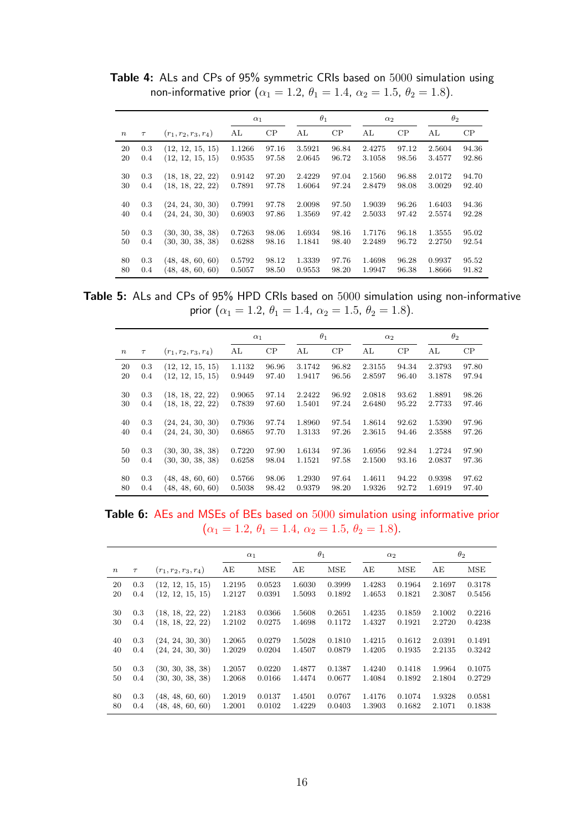Table 4: ALs and CPs of 95% symmetric CRIs based on 5000 simulation using non-informative prior ( $\alpha_1 = 1.2$ ,  $\theta_1 = 1.4$ ,  $\alpha_2 = 1.5$ ,  $\theta_2 = 1.8$ ).

|                  |        |                        | $\alpha_1$ |       | $\theta_1$ |       | $\alpha_2$ |       | $\theta_2$ |       |
|------------------|--------|------------------------|------------|-------|------------|-------|------------|-------|------------|-------|
| $\boldsymbol{n}$ | $\tau$ | $(r_1, r_2, r_3, r_4)$ | AL         | CP    | AL         | CP    | AL         | CP    | AL         | CP    |
| 20               | 0.3    | (12, 12, 15, 15)       | 1.1266     | 97.16 | 3.5921     | 96.84 | 2.4275     | 97.12 | 2.5604     | 94.36 |
| 20               | 0.4    | (12, 12, 15, 15)       | 0.9535     | 97.58 | 2.0645     | 96.72 | 3.1058     | 98.56 | 3.4577     | 92.86 |
| 30               | 0.3    | (18, 18, 22, 22)       | 0.9142     | 97.20 | 2.4229     | 97.04 | 2.1560     | 96.88 | 2.0172     | 94.70 |
| 30               | 0.4    | (18, 18, 22, 22)       | 0.7891     | 97.78 | 1.6064     | 97.24 | 2.8479     | 98.08 | 3.0029     | 92.40 |
|                  |        |                        |            |       |            |       |            |       |            |       |
| 40               | 0.3    | (24, 24, 30, 30)       | 0.7991     | 97.78 | 2.0098     | 97.50 | 1.9039     | 96.26 | 1.6403     | 94.36 |
| 40               | 0.4    | (24, 24, 30, 30)       | 0.6903     | 97.86 | 1.3569     | 97.42 | 2.5033     | 97.42 | 2.5574     | 92.28 |
|                  |        |                        |            |       |            |       |            |       |            |       |
| 50               | 0.3    | (30, 30, 38, 38)       | 0.7263     | 98.06 | 1.6934     | 98.16 | 1.7176     | 96.18 | 1.3555     | 95.02 |
| 50               | 0.4    | (30, 30, 38, 38)       | 0.6288     | 98.16 | 1.1841     | 98.40 | 2.2489     | 96.72 | 2.2750     | 92.54 |
|                  |        |                        |            |       |            |       |            |       |            |       |
| 80               | 0.3    | (48, 48, 60, 60)       | 0.5792     | 98.12 | 1.3339     | 97.76 | 1.4698     | 96.28 | 0.9937     | 95.52 |
| 80               | 0.4    | (48, 48, 60, 60)       | 0.5057     | 98.50 | 0.9553     | 98.20 | 1.9947     | 96.38 | 1.8666     | 91.82 |

Table 5: ALs and CPs of 95% HPD CRIs based on 5000 simulation using non-informative prior  $(\alpha_1 = 1.2, \theta_1 = 1.4, \alpha_2 = 1.5, \theta_2 = 1.8)$ .

|                  |            |                                      |                  | $\alpha_1$     |                  | $\theta_1$     | $\alpha_2$       |                | $\theta_2$       |                |
|------------------|------------|--------------------------------------|------------------|----------------|------------------|----------------|------------------|----------------|------------------|----------------|
| $\boldsymbol{n}$ | $\tau$     | $(r_1, r_2, r_3, r_4)$               | AL               | CP             | AL               | CP             | AL               | CP             | AL               | CP             |
| 20               | 0.3        | (12, 12, 15, 15)                     | 1.1132           | 96.96          | 3.1742           | 96.82          | 2.3155           | 94.34          | 2.3793           | 97.80          |
| 20               | 0.4        | (12, 12, 15, 15)                     | 0.9449           | 97.40          | 1.9417           | 96.56          | 2.8597           | 96.40          | 3.1878           | 97.94          |
| 30               | 0.3        | (18, 18, 22, 22)                     | 0.9065           | 97.14          | 2.2422           | 96.92          | 2.0818           | 93.62          | 1.8891           | 98.26          |
| 30               | 0.4        | (18, 18, 22, 22)                     | 0.7839           | 97.60          | 1.5401           | 97.24          | 2.6480           | 95.22          | 2.7733           | 97.46          |
| 40<br>40         | 0.3<br>0.4 | (24, 24, 30, 30)<br>(24, 24, 30, 30) | 0.7936<br>0.6865 | 97.74<br>97.70 | 1.8960<br>1.3133 | 97.54<br>97.26 | 1.8614<br>2.3615 | 92.62<br>94.46 | 1.5390<br>2.3588 | 97.96<br>97.26 |
| 50               | 0.3        | (30, 30, 38, 38)                     | 0.7220           | 97.90          | 1.6134           | 97.36          | 1.6956           | 92.84          | 1.2724           | 97.90          |
| 50               | 0.4        | (30, 30, 38, 38)                     | 0.6258           | 98.04          | 1.1521           | 97.58          | 2.1500           | 93.16          | 2.0837           | 97.36          |
| 80<br>80         | 0.3<br>0.4 | (48, 48, 60, 60)<br>(48, 48, 60, 60) | 0.5766<br>0.5038 | 98.06<br>98.42 | 1.2930<br>0.9379 | 97.64<br>98.20 | 1.4611<br>1.9326 | 94.22<br>92.72 | 0.9398<br>1.6919 | 97.62<br>97.40 |

Table 6: AEs and MSEs of BEs based on 5000 simulation using informative prior  $(\alpha_1 = 1.2, \theta_1 = 1.4, \alpha_2 = 1.5, \theta_2 = 1.8).$ 

|                  |        |                        |        | $\alpha_1$ |        | $\theta_1$ |        | $\alpha_2$ |        | $\theta_2$ |
|------------------|--------|------------------------|--------|------------|--------|------------|--------|------------|--------|------------|
| $\boldsymbol{n}$ | $\tau$ | $(r_1, r_2, r_3, r_4)$ | AE     | <b>MSE</b> | AE     | <b>MSE</b> | AE     | <b>MSE</b> | AE     | MSE        |
| 20               | 0.3    | (12, 12, 15, 15)       | 1.2195 | 0.0523     | 1.6030 | 0.3999     | 1.4283 | 0.1964     | 2.1697 | 0.3178     |
| 20               | 0.4    | (12, 12, 15, 15)       | 1.2127 | 0.0391     | 1.5093 | 0.1892     | 1.4653 | 0.1821     | 2.3087 | 0.5456     |
|                  | 0.3    |                        | 1.2183 | 0.0366     | 1.5608 | 0.2651     | 1.4235 | 0.1859     | 2.1002 | 0.2216     |
| 30               |        | (18, 18, 22, 22)       |        |            |        |            |        |            |        |            |
| 30               | 0.4    | (18, 18, 22, 22)       | 1.2102 | 0.0275     | 1.4698 | 0.1172     | 1.4327 | 0.1921     | 2.2720 | 0.4238     |
|                  |        |                        |        |            |        |            |        |            |        |            |
| 40               | 0.3    | (24, 24, 30, 30)       | 1.2065 | 0.0279     | 1.5028 | 0.1810     | 1.4215 | 0.1612     | 2.0391 | 0.1491     |
| 40               | 0.4    | (24, 24, 30, 30)       | 1.2029 | 0.0204     | 1.4507 | 0.0879     | 1.4205 | 0.1935     | 2.2135 | 0.3242     |
|                  |        |                        |        |            |        |            |        |            |        |            |
| 50               | 0.3    | (30, 30, 38, 38)       | 1.2057 | 0.0220     | 1.4877 | 0.1387     | 1.4240 | 0.1418     | 1.9964 | 0.1075     |
| 50               | 0.4    | (30, 30, 38, 38)       | 1.2068 | 0.0166     | 1.4474 | 0.0677     | 1.4084 | 0.1892     | 2.1804 | 0.2729     |
|                  |        |                        |        |            |        |            |        |            |        |            |
| 80               | 0.3    | (48, 48, 60, 60)       | 1.2019 | 0.0137     | 1.4501 | 0.0767     | 1.4176 | 0.1074     | 1.9328 | 0.0581     |
| 80               | 0.4    | (48, 48, 60, 60)       | 1.2001 | 0.0102     | 1.4229 | 0.0403     | 1.3903 | 0.1682     | 2.1071 | 0.1838     |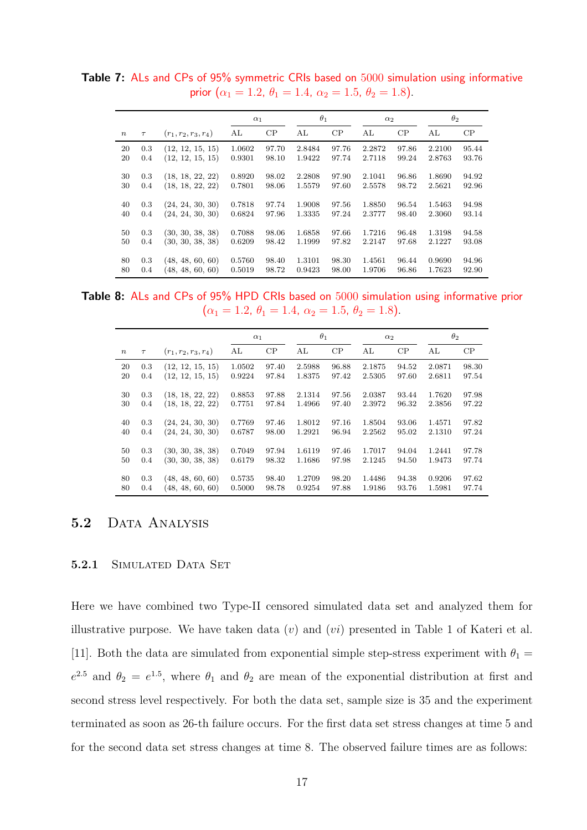Table 7: ALs and CPs of 95% symmetric CRIs based on 5000 simulation using informative prior  $(\alpha_1 = 1.2, \theta_1 = 1.4, \alpha_2 = 1.5, \theta_2 = 1.8)$ .

|          |            |                                      |                  | $\alpha_1$     |        | $\theta_1$ | $\alpha_2$ |       | $\theta_2$ |       |
|----------|------------|--------------------------------------|------------------|----------------|--------|------------|------------|-------|------------|-------|
| $\, n$   | $\tau$     | $(r_1, r_2, r_3, r_4)$               | AL               | CP             | AL     | CP         | AL         | CP    | AL         | CP    |
| 20       | 0.3        | (12, 12, 15, 15)                     | 1.0602           | 97.70          | 2.8484 | 97.76      | 2.2872     | 97.86 | 2.2100     | 95.44 |
| 20       | 0.4        | (12, 12, 15, 15)                     | 0.9301           | 98.10          | 1.9422 | 97.74      | 2.7118     | 99.24 | 2.8763     | 93.76 |
| 30       | 0.3        | (18, 18, 22, 22)                     | 0.8920           | 98.02          | 2.2808 | 97.90      | 2.1041     | 96.86 | 1.8690     | 94.92 |
| 30       | 0.4        | (18, 18, 22, 22)                     | 0.7801           | 98.06          | 1.5579 | 97.60      | 2.5578     | 98.72 | 2.5621     | 92.96 |
| 40       | 0.3        | (24, 24, 30, 30)                     | 0.7818           | 97.74          | 1.9008 | 97.56      | 1.8850     | 96.54 | 1.5463     | 94.98 |
| 40       | 0.4        | (24, 24, 30, 30)                     | 0.6824           | 97.96          | 1.3335 | 97.24      | 2.3777     | 98.40 | 2.3060     | 93.14 |
|          |            |                                      |                  |                | 1.6858 | 97.66      | 1.7216     | 96.48 | 1.3198     | 94.58 |
| 50<br>50 | 0.3<br>0.4 | (30, 30, 38, 38)<br>(30, 30, 38, 38) | 0.7088<br>0.6209 | 98.06<br>98.42 | 1.1999 | 97.82      | 2.2147     | 97.68 | 2.1227     | 93.08 |
|          |            |                                      |                  |                |        |            |            |       |            |       |
| 80       | 0.3        | (48, 48, 60, 60)                     | 0.5760           | 98.40          | 1.3101 | 98.30      | 1.4561     | 96.44 | 0.9690     | 94.96 |
| 80       | 0.4        | (48, 48, 60, 60)                     | 0.5019           | 98.72          | 0.9423 | 98.00      | 1.9706     | 96.86 | 1.7623     | 92.90 |

Table 8: ALs and CPs of 95% HPD CRIs based on 5000 simulation using informative prior  $(\alpha_1 = 1.2, \theta_1 = 1.4, \alpha_2 = 1.5, \theta_2 = 1.8).$ 

|                  |        |                        |        | $\alpha_1$ |        | $\theta_1$ | $\alpha_2$ |       | $\theta_2$ |       |
|------------------|--------|------------------------|--------|------------|--------|------------|------------|-------|------------|-------|
| $\boldsymbol{n}$ | $\tau$ | $(r_1, r_2, r_3, r_4)$ | AL     | CP         | AL     | CP         | AL         | CP    | AL         | CP    |
| 20               | 0.3    | (12, 12, 15, 15)       | 1.0502 | 97.40      | 2.5988 | 96.88      | 2.1875     | 94.52 | 2.0871     | 98.30 |
| 20               | 0.4    | (12, 12, 15, 15)       | 0.9224 | 97.84      | 1.8375 | 97.42      | 2.5305     | 97.60 | 2.6811     | 97.54 |
| 30               | 0.3    | (18, 18, 22, 22)       | 0.8853 | 97.88      | 2.1314 | 97.56      | 2.0387     | 93.44 | 1.7620     | 97.98 |
| 30               | 0.4    | (18, 18, 22, 22)       | 0.7751 | 97.84      | 1.4966 | 97.40      | 2.3972     | 96.32 | 2.3856     | 97.22 |
| 40               | 0.3    | (24, 24, 30, 30)       | 0.7769 | 97.46      | 1.8012 | 97.16      | 1.8504     | 93.06 | 1.4571     | 97.82 |
| 40               | 0.4    | (24, 24, 30, 30)       | 0.6787 | 98.00      | 1.2921 | 96.94      | 2.2562     | 95.02 | 2.1310     | 97.24 |
| 50               | 0.3    | (30, 30, 38, 38)       | 0.7049 | 97.94      | 1.6119 | 97.46      | 1.7017     | 94.04 | 1.2441     | 97.78 |
| 50               | 0.4    | (30, 30, 38, 38)       | 0.6179 | 98.32      | 1.1686 | 97.98      | 2.1245     | 94.50 | 1.9473     | 97.74 |
| 80               | 0.3    | (48, 48, 60, 60)       | 0.5735 | 98.40      | 1.2709 | 98.20      | 1.4486     | 94.38 | 0.9206     | 97.62 |
| 80               | 0.4    | (48, 48, 60, 60)       | 0.5000 | 98.78      | 0.9254 | 97.88      | 1.9186     | 93.76 | 1.5981     | 97.74 |

### 5.2 DATA ANALYSIS

#### 5.2.1 SIMULATED DATA SET

Here we have combined two Type-II censored simulated data set and analyzed them for illustrative purpose. We have taken data  $(v)$  and  $(vi)$  presented in Table 1 of Kateri et al. [11]. Both the data are simulated from exponential simple step-stress experiment with  $\theta_1 =$  $e^{2.5}$  and  $\theta_2 = e^{1.5}$ , where  $\theta_1$  and  $\theta_2$  are mean of the exponential distribution at first and second stress level respectively. For both the data set, sample size is 35 and the experiment terminated as soon as 26-th failure occurs. For the first data set stress changes at time 5 and for the second data set stress changes at time 8. The observed failure times are as follows: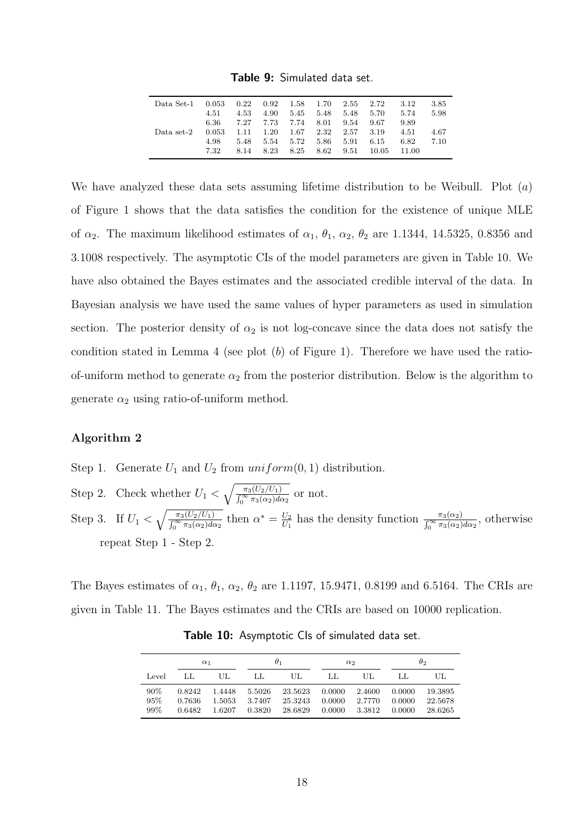Table 9: Simulated data set.

| 3.85<br>2.55 2.72<br>3.12 |
|---------------------------|
| 5.74<br>5.98<br>5.70      |
| 9.89<br>9.67              |
| 4.67<br>2.57 3.19<br>4.51 |
| 7.10<br>6.82<br>6.15      |
| 10.05<br>11.00            |
|                           |

We have analyzed these data sets assuming lifetime distribution to be Weibull. Plot  $(a)$ of Figure 1 shows that the data satisfies the condition for the existence of unique MLE of  $\alpha_2$ . The maximum likelihood estimates of  $\alpha_1$ ,  $\theta_1$ ,  $\alpha_2$ ,  $\theta_2$  are 1.1344, 14.5325, 0.8356 and 3.1008 respectively. The asymptotic CIs of the model parameters are given in Table 10. We have also obtained the Bayes estimates and the associated credible interval of the data. In Bayesian analysis we have used the same values of hyper parameters as used in simulation section. The posterior density of  $\alpha_2$  is not log-concave since the data does not satisfy the condition stated in Lemma 4 (see plot  $(b)$  of Figure 1). Therefore we have used the ratioof-uniform method to generate  $\alpha_2$  from the posterior distribution. Below is the algorithm to generate  $\alpha_2$  using ratio-of-uniform method.

#### Algorithm 2

- Step 1. Generate  $U_1$  and  $U_2$  from  $uniform(0, 1)$  distribution.
- Step 2. Check whether  $U_1 < \sqrt{\frac{\pi_3(U_2/U_1)}{\int_{-\infty}^{\infty} \pi_2(\alpha_2) d\alpha}}$  $\frac{\pi_3(U_2/U_1)}{\int_0^\infty \pi_3(\alpha_2)d\alpha_2}$  or not. Step 3. If  $U_1 < \sqrt{\frac{\pi_3(U_2/U_1)}{\int_{-\infty}^{\infty} \pi_2(\alpha_2) d\alpha}}$  $\frac{\pi_3(U_2/U_1)}{\int_0^\infty \pi_3(\alpha_2)d\alpha_2}$  then  $\alpha^* = \frac{U_2}{U_1}$  $\frac{U_2}{U_1}$  has the density function  $\frac{\pi_3(\alpha_2)}{\int_0^\infty \pi_3(\alpha_2)d\alpha_2}$ , otherwise repeat Step 1 - Step 2.

The Bayes estimates of  $\alpha_1$ ,  $\theta_1$ ,  $\alpha_2$ ,  $\theta_2$  are 1.1197, 15.9471, 0.8199 and 6.5164. The CRIs are given in Table 11. The Bayes estimates and the CRIs are based on 10000 replication.

|                      | $\alpha_1$                 |                            |                            | $\theta_1$                    |                            | $\alpha_2$                 | $\theta_2$                 |                               |  |
|----------------------|----------------------------|----------------------------|----------------------------|-------------------------------|----------------------------|----------------------------|----------------------------|-------------------------------|--|
| Level                | ЫJ                         | UL                         | ЫJ                         | UL.                           | LL                         | UL.                        | ЫJ                         | UL.                           |  |
| $90\%$<br>95%<br>99% | 0.8242<br>0.7636<br>0.6482 | 1.4448<br>1.5053<br>1.6207 | 5.5026<br>3.7407<br>0.3820 | 23.5623<br>25.3243<br>28.6829 | 0.0000<br>0.0000<br>0.0000 | 2.4600<br>2.7770<br>3.3812 | 0.0000<br>0.0000<br>0.0000 | 19.3895<br>22.5678<br>28.6265 |  |

Table 10: Asymptotic CIs of simulated data set.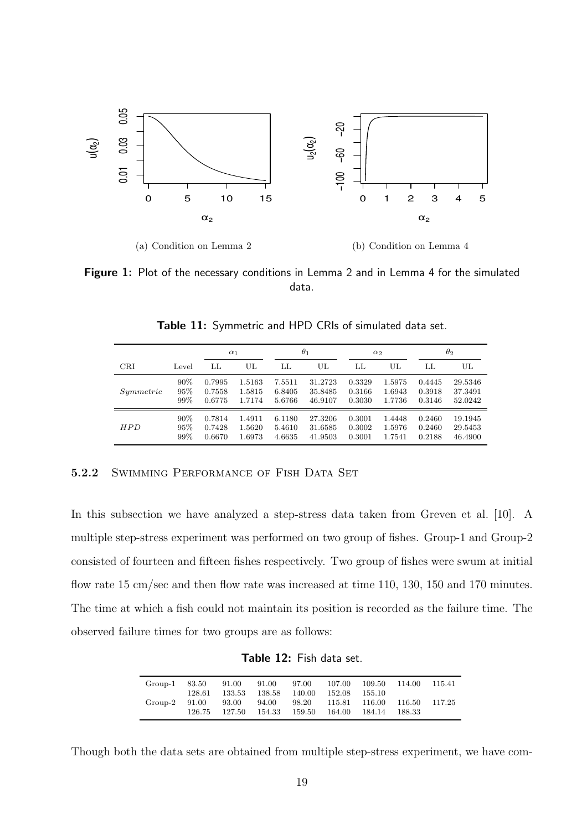

Figure 1: Plot of the necessary conditions in Lemma 2 and in Lemma 4 for the simulated data.

|           |       | $\alpha_1$ |        |        | $\theta_1$ |        | $\alpha_2$ |        | $\theta_2$ |
|-----------|-------|------------|--------|--------|------------|--------|------------|--------|------------|
| CRI       | Level | LL         | UL     | LL     | UL         | LL     | UL         | LL     | UL         |
| Symmetric | 90%   | 0.7995     | 1.5163 | 7.5511 | 31.2723    | 0.3329 | 1.5975     | 0.4445 | 29.5346    |
|           | 95%   | 0.7558     | 1.5815 | 6.8405 | 35.8485    | 0.3166 | 1.6943     | 0.3918 | 37.3491    |
|           | 99%   | 0.6775     | 1.7174 | 5.6766 | 46.9107    | 0.3030 | 1.7736     | 0.3146 | 52.0242    |
| HPD       | 90%   | 0.7814     | 1.4911 | 6.1180 | 27.3206    | 0.3001 | 1.4448     | 0.2460 | 19.1945    |
|           | 95%   | 0.7428     | 1.5620 | 5.4610 | 31.6585    | 0.3002 | 1.5976     | 0.2460 | 29.5453    |
|           | 99%   | 0.6670     | 1.6973 | 4.6635 | 41.9503    | 0.3001 | 1.7541     | 0.2188 | 46.4900    |

Table 11: Symmetric and HPD CRIs of simulated data set.

#### 5.2.2 SWIMMING PERFORMANCE OF FISH DATA SET

In this subsection we have analyzed a step-stress data taken from Greven et al. [10]. A multiple step-stress experiment was performed on two group of fishes. Group-1 and Group-2 consisted of fourteen and fifteen fishes respectively. Two group of fishes were swum at initial flow rate 15 cm/sec and then flow rate was increased at time 110, 130, 150 and 170 minutes. The time at which a fish could not maintain its position is recorded as the failure time. The observed failure times for two groups are as follows:

Table 12: Fish data set.

| Group-1 | 83.50  | 91.00  | 91.00  | 97.00  | 107.00               | 109.50 114.00        |         | - 115.41 |
|---------|--------|--------|--------|--------|----------------------|----------------------|---------|----------|
|         | 128.61 | 133.53 | 138.58 | 140.00 | 152.08               | -155.10              |         |          |
| Group-2 | 91.00  | 93.00  | 94.00  | 98.20  |                      | 115.81 116.00 116.50 |         | 117.25   |
|         | 126.75 | 127.50 | 154.33 |        | 159.50 164.00 184.14 |                      | -188.33 |          |
|         |        |        |        |        |                      |                      |         |          |

Though both the data sets are obtained from multiple step-stress experiment, we have com-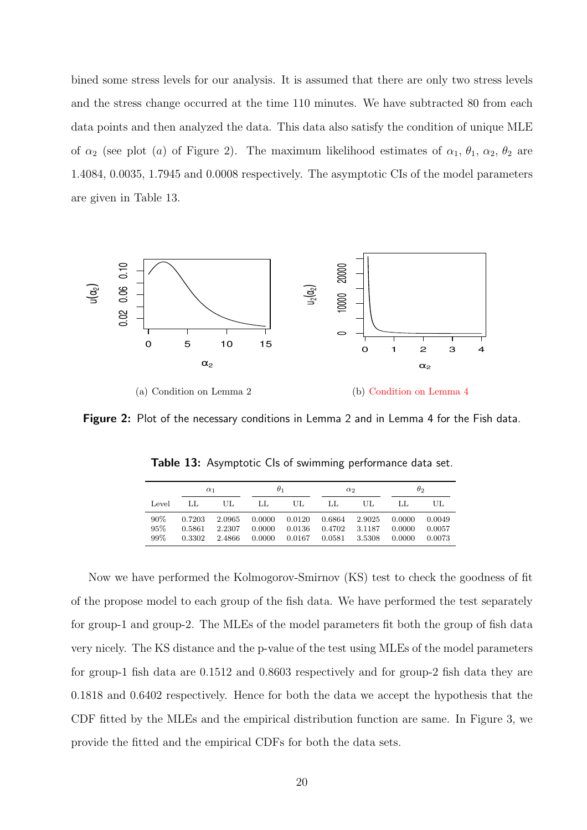bined some stress levels for our analysis. It is assumed that there are only two stress levels and the stress change occurred at the time 110 minutes. We have subtracted 80 from each data points and then analyzed the data. This data also satisfy the condition of unique MLE of  $\alpha_2$  (see plot (a) of Figure 2). The maximum likelihood estimates of  $\alpha_1$ ,  $\theta_1$ ,  $\alpha_2$ ,  $\theta_2$  are 1.4084, 0.0035, 1.7945 and 0.0008 respectively. The asymptotic CIs of the model parameters are given in Table 13.



Figure 2: Plot of the necessary conditions in Lemma 2 and in Lemma 4 for the Fish data.

|                   | $\alpha_1$                 |                            | $\theta_1$                 |                            | $\alpha_2$                 |                            | $\theta_2$                 |                            |
|-------------------|----------------------------|----------------------------|----------------------------|----------------------------|----------------------------|----------------------------|----------------------------|----------------------------|
| Level             | ЫL                         | UL                         | LL                         | UL.                        | LL                         | UL.                        | ЫJ                         | UL                         |
| 90%<br>95%<br>99% | 0.7203<br>0.5861<br>0.3302 | 2.0965<br>2.2307<br>2.4866 | 0.0000<br>0.0000<br>0.0000 | 0.0120<br>0.0136<br>0.0167 | 0.6864<br>0.4702<br>0.0581 | 2.9025<br>3.1187<br>3.5308 | 0.0000<br>0.0000<br>0.0000 | 0.0049<br>0.0057<br>0.0073 |

**Table 13:** Asymptotic Cls of swimming performance data set.

Now we have performed the Kolmogorov-Smirnov (KS) test to check the goodness of fit of the propose model to each group of the fish data. We have performed the test separately for group-1 and group-2. The MLEs of the model parameters fit both the group of fish data very nicely. The KS distance and the p-value of the test using MLEs of the model parameters for group-1 fish data are 0.1512 and 0.8603 respectively and for group-2 fish data they are 0.1818 and 0.6402 respectively. Hence for both the data we accept the hypothesis that the CDF fitted by the MLEs and the empirical distribution function are same. In Figure 3, we provide the fitted and the empirical CDFs for both the data sets.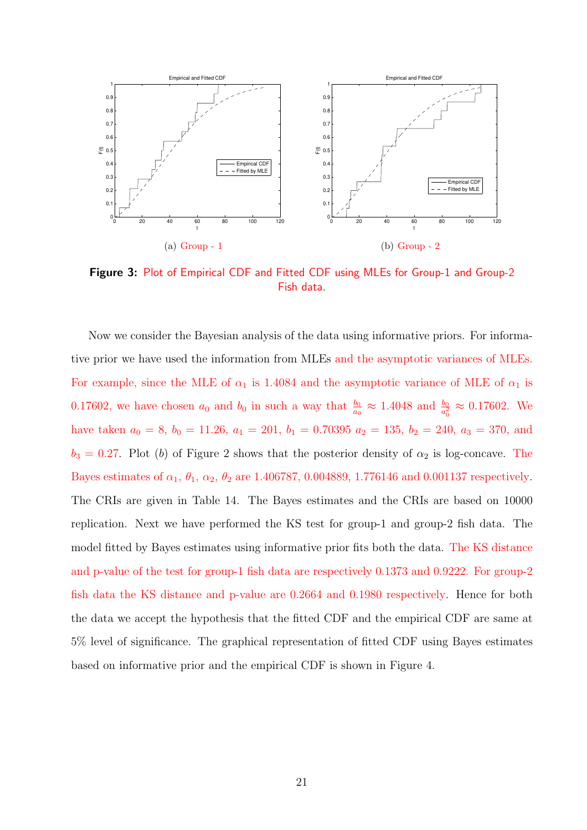

Figure 3: Plot of Empirical CDF and Fitted CDF using MLEs for Group-1 and Group-2 Fish data.

Now we consider the Bayesian analysis of the data using informative priors. For informative prior we have used the information from MLEs and the asymptotic variances of MLEs. For example, since the MLE of  $\alpha_1$  is 1.4084 and the asymptotic variance of MLE of  $\alpha_1$  is 0.17602, we have chosen  $a_0$  and  $b_0$  in such a way that  $\frac{b_0}{a_0} \approx 1.4048$  and  $\frac{b_0}{a_0^2} \approx 0.17602$ . We have taken  $a_0 = 8$ ,  $b_0 = 11.26$ ,  $a_1 = 201$ ,  $b_1 = 0.70395$   $a_2 = 135$ ,  $b_2 = 240$ ,  $a_3 = 370$ , and  $b_3 = 0.27$ . Plot (b) of Figure 2 shows that the posterior density of  $\alpha_2$  is log-concave. The Bayes estimates of  $\alpha_1$ ,  $\theta_1$ ,  $\alpha_2$ ,  $\theta_2$  are 1.406787, 0.004889, 1.776146 and 0.001137 respectively. The CRIs are given in Table 14. The Bayes estimates and the CRIs are based on 10000 replication. Next we have performed the KS test for group-1 and group-2 fish data. The model fitted by Bayes estimates using informative prior fits both the data. The KS distance and p-value of the test for group-1 fish data are respectively 0.1373 and 0.9222. For group-2 fish data the KS distance and p-value are 0.2664 and 0.1980 respectively. Hence for both the data we accept the hypothesis that the fitted CDF and the empirical CDF are same at 5% level of significance. The graphical representation of fitted CDF using Bayes estimates based on informative prior and the empirical CDF is shown in Figure 4.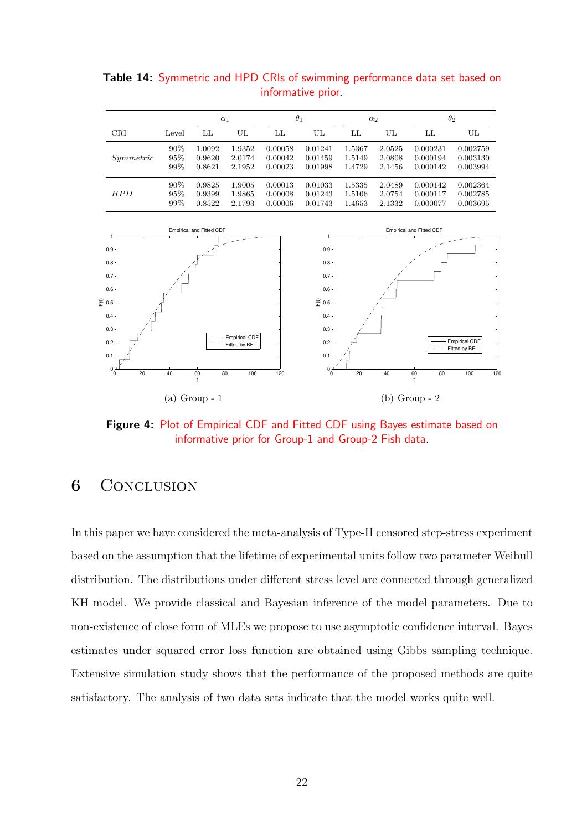|           |       |        | $\alpha_1$ |         | $\theta_1$ |        | $\alpha_2$ |          | $\theta_2$ |  |
|-----------|-------|--------|------------|---------|------------|--------|------------|----------|------------|--|
| CRI       | Level | LL     | UL         | LL      | UL         | LL     | UL         | LL       | UL         |  |
| Symmetric | 90%   | 1.0092 | 1.9352     | 0.00058 | 0.01241    | 1.5367 | 2.0525     | 0.000231 | 0.002759   |  |
|           | 95%   | 0.9620 | 2.0174     | 0.00042 | 0.01459    | 1.5149 | 2.0808     | 0.000194 | 0.003130   |  |
|           | 99%   | 0.8621 | 2.1952     | 0.00023 | 0.01998    | 1.4729 | 2.1456     | 0.000142 | 0.003994   |  |
| HPD       | 90%   | 0.9825 | 1.9005     | 0.00013 | 0.01033    | 1.5335 | 2.0489     | 0.000142 | 0.002364   |  |
|           | 95%   | 0.9399 | 1.9865     | 0.00008 | 0.01243    | 1.5106 | 2.0754     | 0.000117 | 0.002785   |  |
|           | 99%   | 0.8522 | 2.1793     | 0.00006 | 0.01743    | 1.4653 | 2.1332     | 0.000077 | 0.003695   |  |

Table 14: Symmetric and HPD CRIs of swimming performance data set based on informative prior.



Figure 4: Plot of Empirical CDF and Fitted CDF using Bayes estimate based on informative prior for Group-1 and Group-2 Fish data.

# **6** CONCLUSION

In this paper we have considered the meta-analysis of Type-II censored step-stress experiment based on the assumption that the lifetime of experimental units follow two parameter Weibull distribution. The distributions under different stress level are connected through generalized KH model. We provide classical and Bayesian inference of the model parameters. Due to non-existence of close form of MLEs we propose to use asymptotic confidence interval. Bayes estimates under squared error loss function are obtained using Gibbs sampling technique. Extensive simulation study shows that the performance of the proposed methods are quite satisfactory. The analysis of two data sets indicate that the model works quite well.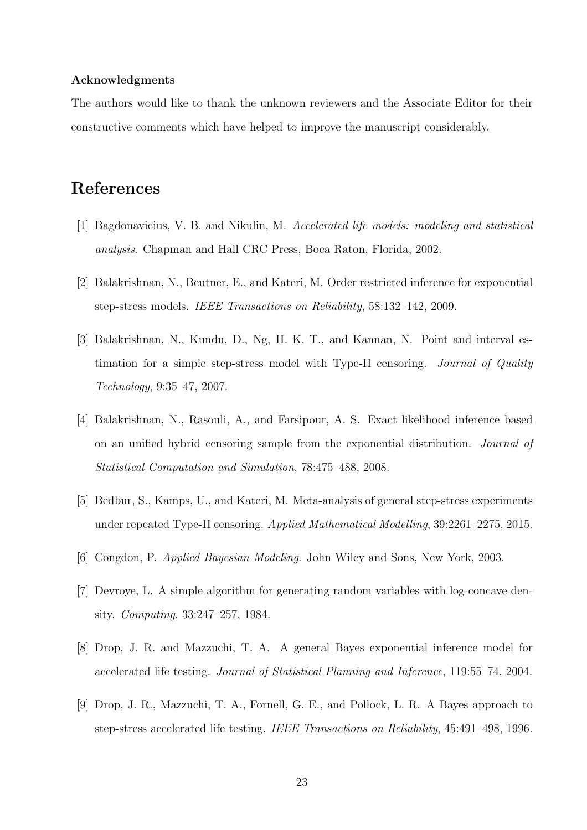#### Acknowledgments

The authors would like to thank the unknown reviewers and the Associate Editor for their constructive comments which have helped to improve the manuscript considerably.

# References

- [1] Bagdonavicius, V. B. and Nikulin, M. *Accelerated life models: modeling and statistical analysis*. Chapman and Hall CRC Press, Boca Raton, Florida, 2002.
- [2] Balakrishnan, N., Beutner, E., and Kateri, M. Order restricted inference for exponential step-stress models. *IEEE Transactions on Reliability*, 58:132–142, 2009.
- [3] Balakrishnan, N., Kundu, D., Ng, H. K. T., and Kannan, N. Point and interval estimation for a simple step-stress model with Type-II censoring. *Journal of Quality Technology*, 9:35–47, 2007.
- [4] Balakrishnan, N., Rasouli, A., and Farsipour, A. S. Exact likelihood inference based on an unified hybrid censoring sample from the exponential distribution. *Journal of Statistical Computation and Simulation*, 78:475–488, 2008.
- [5] Bedbur, S., Kamps, U., and Kateri, M. Meta-analysis of general step-stress experiments under repeated Type-II censoring. *Applied Mathematical Modelling*, 39:2261–2275, 2015.
- [6] Congdon, P. *Applied Bayesian Modeling*. John Wiley and Sons, New York, 2003.
- [7] Devroye, L. A simple algorithm for generating random variables with log-concave density. *Computing*, 33:247–257, 1984.
- [8] Drop, J. R. and Mazzuchi, T. A. A general Bayes exponential inference model for accelerated life testing. *Journal of Statistical Planning and Inference*, 119:55–74, 2004.
- [9] Drop, J. R., Mazzuchi, T. A., Fornell, G. E., and Pollock, L. R. A Bayes approach to step-stress accelerated life testing. *IEEE Transactions on Reliability*, 45:491–498, 1996.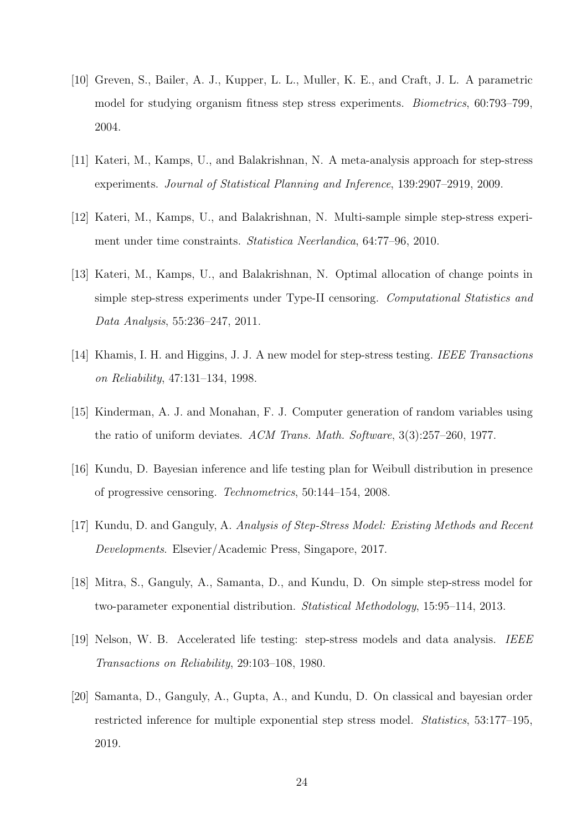- [10] Greven, S., Bailer, A. J., Kupper, L. L., Muller, K. E., and Craft, J. L. A parametric model for studying organism fitness step stress experiments. *Biometrics*, 60:793–799, 2004.
- [11] Kateri, M., Kamps, U., and Balakrishnan, N. A meta-analysis approach for step-stress experiments. *Journal of Statistical Planning and Inference*, 139:2907–2919, 2009.
- [12] Kateri, M., Kamps, U., and Balakrishnan, N. Multi-sample simple step-stress experiment under time constraints. *Statistica Neerlandica*, 64:77–96, 2010.
- [13] Kateri, M., Kamps, U., and Balakrishnan, N. Optimal allocation of change points in simple step-stress experiments under Type-II censoring. *Computational Statistics and Data Analysis*, 55:236–247, 2011.
- [14] Khamis, I. H. and Higgins, J. J. A new model for step-stress testing. *IEEE Transactions on Reliability*, 47:131–134, 1998.
- [15] Kinderman, A. J. and Monahan, F. J. Computer generation of random variables using the ratio of uniform deviates. *ACM Trans. Math. Software*, 3(3):257–260, 1977.
- [16] Kundu, D. Bayesian inference and life testing plan for Weibull distribution in presence of progressive censoring. *Technometrics*, 50:144–154, 2008.
- [17] Kundu, D. and Ganguly, A. *Analysis of Step-Stress Model: Existing Methods and Recent Developments*. Elsevier/Academic Press, Singapore, 2017.
- [18] Mitra, S., Ganguly, A., Samanta, D., and Kundu, D. On simple step-stress model for two-parameter exponential distribution. *Statistical Methodology*, 15:95–114, 2013.
- [19] Nelson, W. B. Accelerated life testing: step-stress models and data analysis. *IEEE Transactions on Reliability*, 29:103–108, 1980.
- [20] Samanta, D., Ganguly, A., Gupta, A., and Kundu, D. On classical and bayesian order restricted inference for multiple exponential step stress model. *Statistics*, 53:177–195, 2019.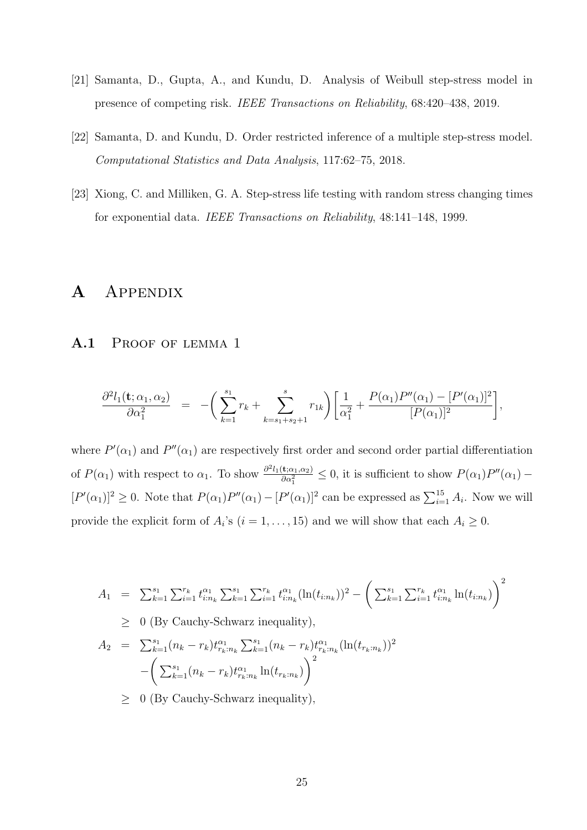- [21] Samanta, D., Gupta, A., and Kundu, D. Analysis of Weibull step-stress model in presence of competing risk. *IEEE Transactions on Reliability*, 68:420–438, 2019.
- [22] Samanta, D. and Kundu, D. Order restricted inference of a multiple step-stress model. *Computational Statistics and Data Analysis*, 117:62–75, 2018.
- [23] Xiong, C. and Milliken, G. A. Step-stress life testing with random stress changing times for exponential data. *IEEE Transactions on Reliability*, 48:141–148, 1999.

# A Appendix

#### A.1 PROOF OF LEMMA 1

$$
\frac{\partial^2 l_1(\mathbf{t}; \alpha_1, \alpha_2)}{\partial \alpha_1^2} = -\bigg(\sum_{k=1}^{s_1} r_k + \sum_{k=s_1+s_2+1}^{s} r_{1k}\bigg) \bigg[\frac{1}{\alpha_1^2} + \frac{P(\alpha_1)P''(\alpha_1) - [P'(\alpha_1)]^2}{[P(\alpha_1)]^2}\bigg],
$$

where  $P'(\alpha_1)$  and  $P''(\alpha_1)$  are respectively first order and second order partial differentiation of  $P(\alpha_1)$  with respect to  $\alpha_1$ . To show  $\frac{\partial^2 l_1(\mathbf{t};\alpha_1,\alpha_2)}{\partial \alpha_1^2}$  $\frac{\langle \mathbf{t}; \alpha_1, \alpha_2 \rangle}{\partial \alpha_1^2} \leq 0$ , it is sufficient to show  $P(\alpha_1)P''(\alpha_1)$  –  $[P'(\alpha_1)]^2 \geq 0$ . Note that  $P(\alpha_1)P''(\alpha_1) - [P'(\alpha_1)]^2$  can be expressed as  $\sum_{i=1}^{15} A_i$ . Now we will provide the explicit form of  $A_i$ 's  $(i = 1, ..., 15)$  and we will show that each  $A_i \geq 0$ .

$$
A_1 = \sum_{k=1}^{s_1} \sum_{i=1}^{r_k} t_{i:n_k}^{\alpha_1} \sum_{k=1}^{s_1} \sum_{i=1}^{r_k} t_{i:n_k}^{\alpha_1} (\ln(t_{i:n_k}))^2 - \left( \sum_{k=1}^{s_1} \sum_{i=1}^{r_k} t_{i:n_k}^{\alpha_1} \ln(t_{i:n_k}) \right)^2
$$
  
\n
$$
\geq 0 \text{ (By Cauchy-Schwarz inequality)},
$$
  
\n
$$
A_2 = \sum_{k=1}^{s_1} (n_k - r_k) t_{r_k:n_k}^{\alpha_1} \sum_{k=1}^{s_1} (n_k - r_k) t_{r_k:n_k}^{\alpha_1} (\ln(t_{r_k:n_k}))^2
$$
  
\n
$$
- \left( \sum_{k=1}^{s_1} (n_k - r_k) t_{r_k:n_k}^{\alpha_1} \ln(t_{r_k:n_k}) \right)^2
$$
  
\n
$$
\geq 0 \text{ (By Cauchy-Schwarz inequality)},
$$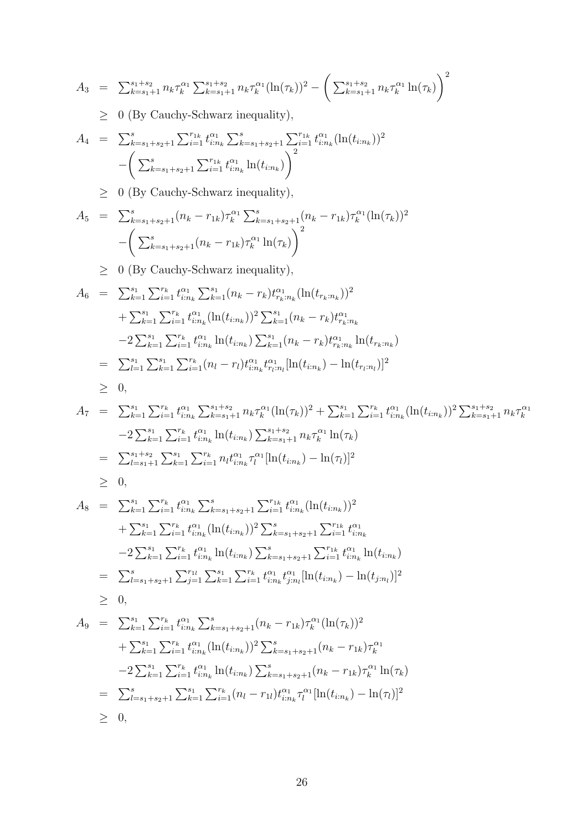$$
A_3 = \sum_{k=s_1+1}^{s_1+s_2} n_k \tau_k^{\alpha_1} \sum_{k=s_1+1}^{s_1+s_2} n_k \tau_k^{\alpha_1} (\ln(\tau_k))^2 - \left( \sum_{k=s_1+1}^{s_1+s_2} n_k \tau_k^{\alpha_1} \ln(\tau_k) \right)^2
$$

 $\geq~$  0 (By Cauchy-Schwarz inequality),

$$
A_4 = \sum_{k=s_1+s_2+1}^{s} \sum_{i=1}^{r_{1k}} t_{i:n_k}^{\alpha_1} \sum_{k=s_1+s_2+1}^{s} \sum_{i=1}^{r_{1k}} t_{i:n_k}^{\alpha_1} (\ln(t_{i:n_k}))^2 - \left( \sum_{k=s_1+s_2+1}^{s} \sum_{i=1}^{r_{1k}} t_{i:n_k}^{\alpha_1} \ln(t_{i:n_k}) \right)^2
$$

 $\geq 0$  (By Cauchy-Schwarz inequality),

$$
A_5 = \sum_{k=s_1+s_2+1}^{s} (n_k - r_{1k}) \tau_k^{\alpha_1} \sum_{k=s_1+s_2+1}^{s} (n_k - r_{1k}) \tau_k^{\alpha_1} (\ln(\tau_k))^2
$$

$$
- \left( \sum_{k=s_1+s_2+1}^{s} (n_k - r_{1k}) \tau_k^{\alpha_1} \ln(\tau_k) \right)^2
$$

 $\geq 0$  (By Cauchy-Schwarz inequality),

$$
A_6 = \sum_{k=1}^{s_1} \sum_{i=1}^{r_k} t_{i:n_k}^{\alpha_1} \sum_{k=1}^{s_1} (n_k - r_k) t_{r_k:n_k}^{\alpha_1} (\ln(t_{r_k:n_k}))^2
$$
  
+ 
$$
\sum_{k=1}^{s_1} \sum_{i=1}^{r_k} t_{i:n_k}^{\alpha_1} (\ln(t_{i:n_k}))^2 \sum_{k=1}^{s_1} (n_k - r_k) t_{r_k:n_k}^{\alpha_1}
$$
  
-2 
$$
\sum_{k=1}^{s_1} \sum_{i=1}^{r_k} t_{i:n_k}^{\alpha_1} \ln(t_{i:n_k}) \sum_{k=1}^{s_1} (n_k - r_k) t_{r_k:n_k}^{\alpha_1} \ln(t_{r_k:n_k})
$$
  
= 
$$
\sum_{l=1}^{s_1} \sum_{k=1}^{s_1} \sum_{i=1}^{r_k} (n_l - r_l) t_{i:n_k}^{\alpha_1} t_{r_l:n_l}^{\alpha_1} [\ln(t_{i:n_k}) - \ln(t_{r_l:n_l})]^2
$$
  

$$
\geq 0,
$$

$$
A_7 = \sum_{k=1}^{s_1} \sum_{i=1}^{r_k} t_{i:n_k}^{\alpha_1} \sum_{k=s_1+1}^{s_1+s_2} n_k \tau_k^{\alpha_1} (\ln(\tau_k))^2 + \sum_{k=1}^{s_1} \sum_{i=1}^{r_k} t_{i:n_k}^{\alpha_1} (\ln(t_{i:n_k}))^2 \sum_{k=s_1+1}^{s_1+s_2} n_k \tau_k^{\alpha_1}
$$
  
\n
$$
-2 \sum_{k=1}^{s_1} \sum_{i=1}^{r_k} t_{i:n_k}^{\alpha_1} \ln(t_{i:n_k}) \sum_{k=s_1+1}^{s_1+s_2} n_k \tau_k^{\alpha_1} \ln(\tau_k)
$$
  
\n
$$
= \sum_{l=s_1+1}^{s_1+s_2} \sum_{k=1}^{s_1} \sum_{i=1}^{r_k} n_l t_{i:n_k}^{\alpha_1} \tau_l^{\alpha_1} [\ln(t_{i:n_k}) - \ln(\tau_l)]^2
$$
  
\n
$$
\geq 0,
$$

$$
A_8 = \sum_{k=1}^{s_1} \sum_{i=1}^{r_k} t_{i:n_k}^{\alpha_1} \sum_{k=s_1+s_2+1}^s \sum_{i=1}^{r_{1k}} t_{i:n_k}^{\alpha_1} (\ln(t_{i:n_k}))^2
$$
  
+  $\sum_{k=1}^{s_1} \sum_{i=1}^{r_k} t_{i:n_k}^{\alpha_1} (\ln(t_{i:n_k}))^2 \sum_{k=s_1+s_2+1}^s \sum_{i=1}^{r_{1k}} t_{i:n_k}^{\alpha_1}$   
-2  $\sum_{k=1}^{s_1} \sum_{i=1}^{r_k} t_{i:n_k}^{\alpha_1} \ln(t_{i:n_k}) \sum_{k=s_1+s_2+1}^s \sum_{i=1}^{r_{1k}} t_{i:n_k}^{\alpha_1} \ln(t_{i:n_k})$   
=  $\sum_{l=s_1+s_2+1}^s \sum_{j=1}^{r_{1l}} \sum_{k=1}^{s_1} \sum_{i=1}^{r_k} t_{i:n_k}^{\alpha_1} t_{j:n_l}^{\alpha_1} [\ln(t_{i:n_k}) - \ln(t_{j:n_l})]^2$   
  $\geq 0$ ,

$$
A_9 = \sum_{k=1}^{s_1} \sum_{i=1}^{r_k} t_{i:n_k}^{\alpha_1} \sum_{k=s_1+s_2+1}^{s} (n_k - r_{1k}) \tau_k^{\alpha_1} (\ln(\tau_k))^2
$$
  
+ 
$$
\sum_{k=1}^{s_1} \sum_{i=1}^{r_k} t_{i:n_k}^{\alpha_1} (\ln(t_{i:n_k}))^2 \sum_{k=s_1+s_2+1}^{s} (n_k - r_{1k}) \tau_k^{\alpha_1}
$$
  
-2 
$$
\sum_{k=1}^{s_1} \sum_{i=1}^{r_k} t_{i:n_k}^{\alpha_1} \ln(t_{i:n_k}) \sum_{k=s_1+s_2+1}^{s} (n_k - r_{1k}) \tau_k^{\alpha_1} \ln(\tau_k)
$$
  
= 
$$
\sum_{l=s_1+s_2+1}^{s} \sum_{k=1}^{s_1} \sum_{i=1}^{r_k} (n_l - r_{1l}) t_{i:n_k}^{\alpha_1} \tau_l^{\alpha_1} [\ln(t_{i:n_k}) - \ln(\tau_l)]^2
$$
  
\ge 0,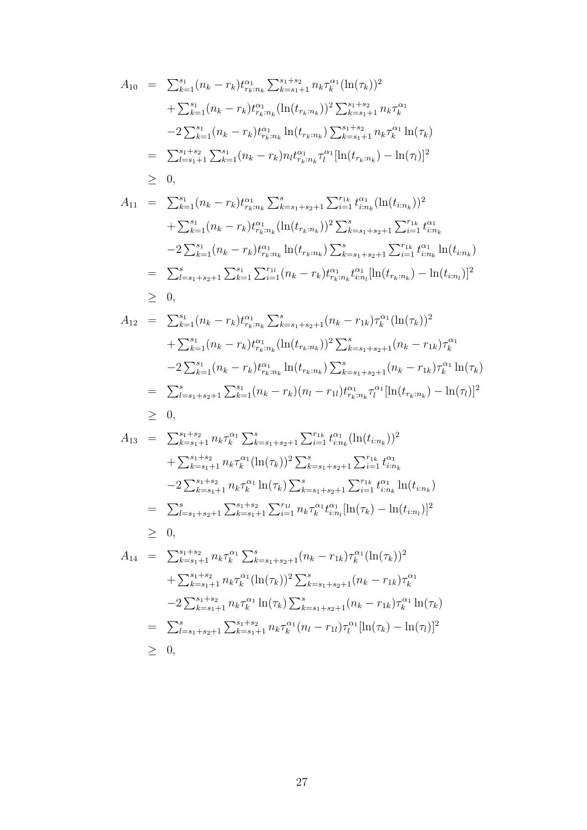$$
A_{10} = \sum_{k=1}^{s_1} (n_k - r_k) t_{r_k:n_k}^{\alpha_1} \sum_{k=s_1+1}^{s_1+s_2} n_k \tau_k^{\alpha_1} (\ln(\tau_k))^2
$$
  
+ 
$$
\sum_{k=1}^{s_1} (n_k - r_k) t_{r_k:n_k}^{\alpha_1} (\ln(t_{r_k:n_k}))^2 \sum_{k=s_1+1}^{s_1+s_2} n_k \tau_k^{\alpha_1}
$$
  
-2 
$$
\sum_{k=1}^{s_1} (n_k - r_k) t_{r_k:n_k}^{\alpha_1} \ln(t_{r_k:n_k}) \sum_{k=s_1+1}^{s_1+s_2} n_k \tau_k^{\alpha_1} \ln(\tau_k)
$$
  
= 
$$
\sum_{l=s_1+1}^{s_1+s_2} \sum_{k=1}^{s_1} (n_k - r_k) n_l t_{r_k:n_k}^{\alpha_1} \tau_l^{\alpha_1} [\ln(t_{r_k:n_k}) - \ln(\tau_l)]^2
$$
  
\ge 0,

$$
A_{11} = \sum_{k=1}^{s_1} (n_k - r_k) t_{r_k:n_k}^{\alpha_1} \sum_{k=s_1+s_2+1}^{s} \sum_{i=1}^{r_{1k}} t_{i:n_k}^{\alpha_1} (\ln(t_{i:n_k}))^2 + \sum_{k=1}^{s_1} (n_k - r_k) t_{r_k:n_k}^{\alpha_1} (\ln(t_{r_k:n_k}))^2 \sum_{k=s_1+s_2+1}^{s} \sum_{i=1}^{r_{1k}} t_{i:n_k}^{\alpha_1} - 2 \sum_{k=1}^{s_1} (n_k - r_k) t_{r_k:n_k}^{\alpha_1} \ln(t_{r_k:n_k}) \sum_{k=s_1+s_2+1}^{s} \sum_{i=1}^{r_{1k}} t_{i:n_k}^{\alpha_1} \ln(t_{i:n_k}) = \sum_{l=s_1+s_2+1}^{s} \sum_{k=1}^{s_1} \sum_{i=1}^{r_{1l}} (n_k - r_k) t_{r_k:n_k}^{\alpha_1} t_{i:n_l}^{\alpha_1} [\ln(t_{r_k:n_k}) - \ln(t_{i:n_l})]^2 \geq 0,
$$

$$
A_{12} = \sum_{k=1}^{s_1} (n_k - r_k) t_{r_k : n_k}^{\alpha_1} \sum_{k=s_1+s_2+1}^{s} (n_k - r_{1k}) \tau_k^{\alpha_1} (\ln(\tau_k))^2
$$
  
+ 
$$
\sum_{k=1}^{s_1} (n_k - r_k) t_{r_k : n_k}^{\alpha_1} (\ln(t_{r_k : n_k}))^2 \sum_{k=s_1+s_2+1}^{s} (n_k - r_{1k}) \tau_k^{\alpha_1}
$$
  
-2 
$$
\sum_{k=1}^{s_1} (n_k - r_k) t_{r_k : n_k}^{\alpha_1} \ln(t_{r_k : n_k}) \sum_{k=s_1+s_2+1}^{s} (n_k - r_{1k}) \tau_k^{\alpha_1} \ln(\tau_k)
$$
  
= 
$$
\sum_{l=s_1+s_2+1}^{s} \sum_{k=1}^{s_1} (n_k - r_k) (n_l - r_{1l}) t_{r_k : n_k}^{\alpha_1} \tau_l^{\alpha_1} [\ln(t_{r_k : n_k}) - \ln(\tau_l)]^2
$$
  
\ge 0,

$$
A_{13} = \sum_{k=s_1+1}^{s_1+s_2} n_k \tau_k^{\alpha_1} \sum_{k=s_1+s_2+1}^{s} \sum_{i=1}^{r_{1k}} t_{i:n_k}^{\alpha_1} (\ln(t_{i:n_k}))^2
$$
  
+ 
$$
\sum_{k=s_1+1}^{s_1+s_2} n_k \tau_k^{\alpha_1} (\ln(\tau_k))^2 \sum_{k=s_1+s_2+1}^{s} \sum_{i=1}^{r_{1k}} t_{i:n_k}^{\alpha_1}
$$
  
-2 
$$
\sum_{k=s_1+1}^{s_1+s_2} n_k \tau_k^{\alpha_1} \ln(\tau_k) \sum_{k=s_1+s_2+1}^{s} \sum_{i=1}^{r_{1k}} t_{i:n_k}^{\alpha_1} \ln(t_{i:n_k})
$$
  
= 
$$
\sum_{l=s_1+s_2+1}^{s} \sum_{k=s_1+1}^{s_1+s_2} \sum_{i=1}^{r_{1l}} n_k \tau_k^{\alpha_1} t_{i:n_l}^{\alpha_1} [\ln(\tau_k) - \ln(t_{i:n_l})]^2
$$
  
\ge 0,

$$
A_{14} = \sum_{k=s_1+1}^{s_1+s_2} n_k \tau_k^{\alpha_1} \sum_{k=s_1+s_2+1}^{s} (n_k - r_{1k}) \tau_k^{\alpha_1} (\ln(\tau_k))^2
$$
  
+ 
$$
\sum_{k=s_1+1}^{s_1+s_2} n_k \tau_k^{\alpha_1} (\ln(\tau_k))^2 \sum_{k=s_1+s_2+1}^{s} (n_k - r_{1k}) \tau_k^{\alpha_1}
$$
  
-2 
$$
\sum_{k=s_1+1}^{s_1+s_2} n_k \tau_k^{\alpha_1} \ln(\tau_k) \sum_{k=s_1+s_2+1}^{s} (n_k - r_{1k}) \tau_k^{\alpha_1} \ln(\tau_k)
$$
  
= 
$$
\sum_{l=s_1+s_2+1}^{s} \sum_{k=s_1+1}^{s_1+s_2} n_k \tau_k^{\alpha_1} (n_l - r_{1l}) \tau_l^{\alpha_1} [\ln(\tau_k) - \ln(\tau_l)]^2
$$
  
\ge 0,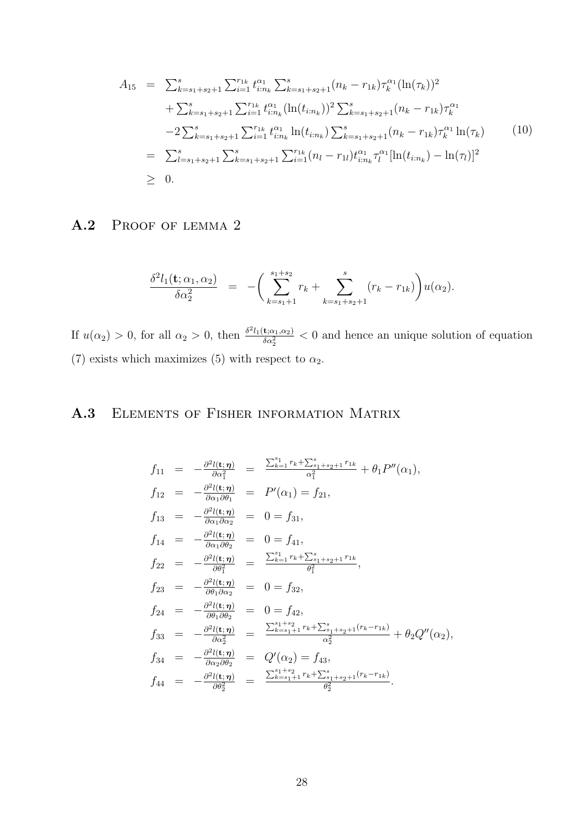$$
A_{15} = \sum_{k=s_1+s_2+1}^{s} \sum_{i=1}^{r_{1k}} t_{i:n_k}^{\alpha_1} \sum_{k=s_1+s_2+1}^{s} (n_k - r_{1k}) \tau_k^{\alpha_1} (\ln(\tau_k))^2 + \sum_{k=s_1+s_2+1}^{s} \sum_{i=1}^{r_{1k}} t_{i:n_k}^{\alpha_1} (\ln(t_{i:n_k}))^2 \sum_{k=s_1+s_2+1}^{s} (n_k - r_{1k}) \tau_k^{\alpha_1} -2 \sum_{k=s_1+s_2+1}^{s} \sum_{i=1}^{r_{1k}} t_{i:n_k}^{\alpha_1} \ln(t_{i:n_k}) \sum_{k=s_1+s_2+1}^{s} (n_k - r_{1k}) \tau_k^{\alpha_1} \ln(\tau_k) = \sum_{l=s_1+s_2+1}^{s} \sum_{k=s_1+s_2+1}^{s} \sum_{i=1}^{r_{1k}} (n_l - r_{1l}) t_{i:n_k}^{\alpha_1} \tau_l^{\alpha_1} [\ln(t_{i:n_k}) - \ln(\tau_l)]^2 \geq 0.
$$
 (10)

### A.2 PROOF OF LEMMA 2

$$
\frac{\delta^2 l_1(\mathbf{t}; \alpha_1, \alpha_2)}{\delta \alpha_2^2} = - \left( \sum_{k=s_1+1}^{s_1+s_2} r_k + \sum_{k=s_1+s_2+1}^s (r_k - r_{1k}) \right) u(\alpha_2).
$$

If  $u(\alpha_2) > 0$ , for all  $\alpha_2 > 0$ , then  $\frac{\delta^2 l_1(\mathbf{t}; \alpha_1, \alpha_2)}{\delta \alpha_2^2}$  $\frac{\mathbf{E}(\alpha_1,\alpha_2)}{\delta \alpha_2^2}$  < 0 and hence an unique solution of equation (7) exists which maximizes (5) with respect to  $\alpha_2$ .

## A.3 Elements of Fisher information Matrix

$$
f_{11} = -\frac{\partial^2 l(\mathbf{t}; \eta)}{\partial \alpha_1^2} = \frac{\sum_{k=1}^{s_1} r_k + \sum_{s_1+s_2+1}^{s_1} r_{1k}}{\alpha_1^2} + \theta_1 P''(\alpha_1),
$$
  
\n
$$
f_{12} = -\frac{\partial^2 l(\mathbf{t}; \eta)}{\partial \alpha_1 \partial \theta_1} = P'(\alpha_1) = f_{21},
$$
  
\n
$$
f_{13} = -\frac{\partial^2 l(\mathbf{t}; \eta)}{\partial \alpha_1 \partial \alpha_2} = 0 = f_{31},
$$
  
\n
$$
f_{14} = -\frac{\partial^2 l(\mathbf{t}; \eta)}{\partial \alpha_1 \partial \theta_2} = 0 = f_{41},
$$
  
\n
$$
f_{22} = -\frac{\partial^2 l(\mathbf{t}; \eta)}{\partial \theta_1^2} = \frac{\sum_{k=1}^{s_1} r_k + \sum_{s_1+s_2+1}^{s} r_{1k}}{\theta_1^2},
$$
  
\n
$$
f_{23} = -\frac{\partial^2 l(\mathbf{t}; \eta)}{\partial \theta_1 \partial \alpha_2} = 0 = f_{32},
$$
  
\n
$$
f_{24} = -\frac{\partial^2 l(\mathbf{t}; \eta)}{\partial \theta_1 \partial \theta_2} = 0 = f_{42},
$$
  
\n
$$
f_{33} = -\frac{\partial^2 l(\mathbf{t}; \eta)}{\partial \alpha_2^2} = \frac{\sum_{k=s_1+1}^{s_1+s_2} r_k + \sum_{s_1+s_2+1}^{s} (r_k - r_{1k})}{\alpha_2^2} + \theta_2 Q''(\alpha_2),
$$
  
\n
$$
f_{34} = -\frac{\partial^2 l(\mathbf{t}; \eta)}{\partial \alpha_2 \partial \theta_2} = Q'(\alpha_2) = f_{43},
$$
  
\n
$$
f_{44} = -\frac{\partial^2 l(\mathbf{t}; \eta)}{\partial \theta_2^2} = \frac{\sum_{k=s_1+1}^{s_1+s_2} r_k + \sum_{s_1+s_2+1}^{s} (r_k - r_{1k})}{\theta_2^2}.
$$